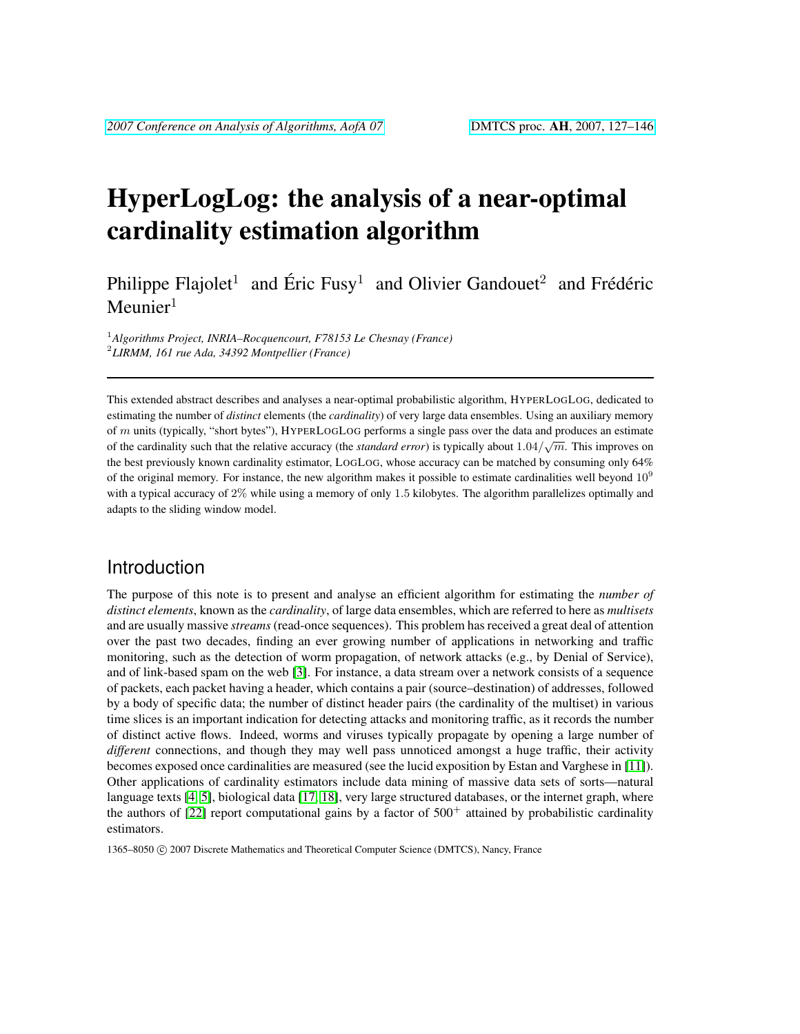# HyperLogLog: the analysis of a near-optimal cardinality estimation algorithm

Philippe Flajolet<sup>1</sup> and Éric Fusy<sup>1</sup> and Olivier Gandouet<sup>2</sup> and Frédéric  $M$ eunier<sup>1</sup>

<sup>1</sup>*Algorithms Project, INRIA–Rocquencourt, F78153 Le Chesnay (France)* 2 *LIRMM, 161 rue Ada, 34392 Montpellier (France)*

This extended abstract describes and analyses a near-optimal probabilistic algorithm, HYPERLOGLOG, dedicated to estimating the number of *distinct* elements (the *cardinality*) of very large data ensembles. Using an auxiliary memory of m units (typically, "short bytes"), HYPERLOGLOG performs a single pass over the data and produces an estimate of the cardinality such that the relative accuracy (the *standard error*) is typically about  $1.04/\sqrt{m}$ . This improves on the best previously known cardinality estimator, LOGLOG, whose accuracy can be matched by consuming only 64% of the original memory. For instance, the new algorithm makes it possible to estimate cardinalities well beyond  $10<sup>9</sup>$ with a typical accuracy of 2% while using a memory of only 1.5 kilobytes. The algorithm parallelizes optimally and adapts to the sliding window model.

# Introduction

The purpose of this note is to present and analyse an efficient algorithm for estimating the *number of distinct elements*, known as the *cardinality*, of large data ensembles, which are referred to here as *multisets* and are usually massive *streams* (read-once sequences). This problem has received a great deal of attention over the past two decades, finding an ever growing number of applications in networking and traffic monitoring, such as the detection of worm propagation, of network attacks (e.g., by Denial of Service), and of link-based spam on the web [\[3\]](#page-16-0). For instance, a data stream over a network consists of a sequence of packets, each packet having a header, which contains a pair (source–destination) of addresses, followed by a body of specific data; the number of distinct header pairs (the cardinality of the multiset) in various time slices is an important indication for detecting attacks and monitoring traffic, as it records the number of distinct active flows. Indeed, worms and viruses typically propagate by opening a large number of *different* connections, and though they may well pass unnoticed amongst a huge traffic, their activity becomes exposed once cardinalities are measured (see the lucid exposition by Estan and Varghese in [\[11\]](#page-17-0)). Other applications of cardinality estimators include data mining of massive data sets of sorts—natural language texts [\[4,](#page-17-1) [5\]](#page-17-2), biological data [\[17,](#page-17-3) [18\]](#page-17-4), very large structured databases, or the internet graph, where the authors of  $[22]$  report computational gains by a factor of  $500^+$  attained by probabilistic cardinality estimators.

1365-8050 © 2007 Discrete Mathematics and Theoretical Computer Science (DMTCS), Nancy, France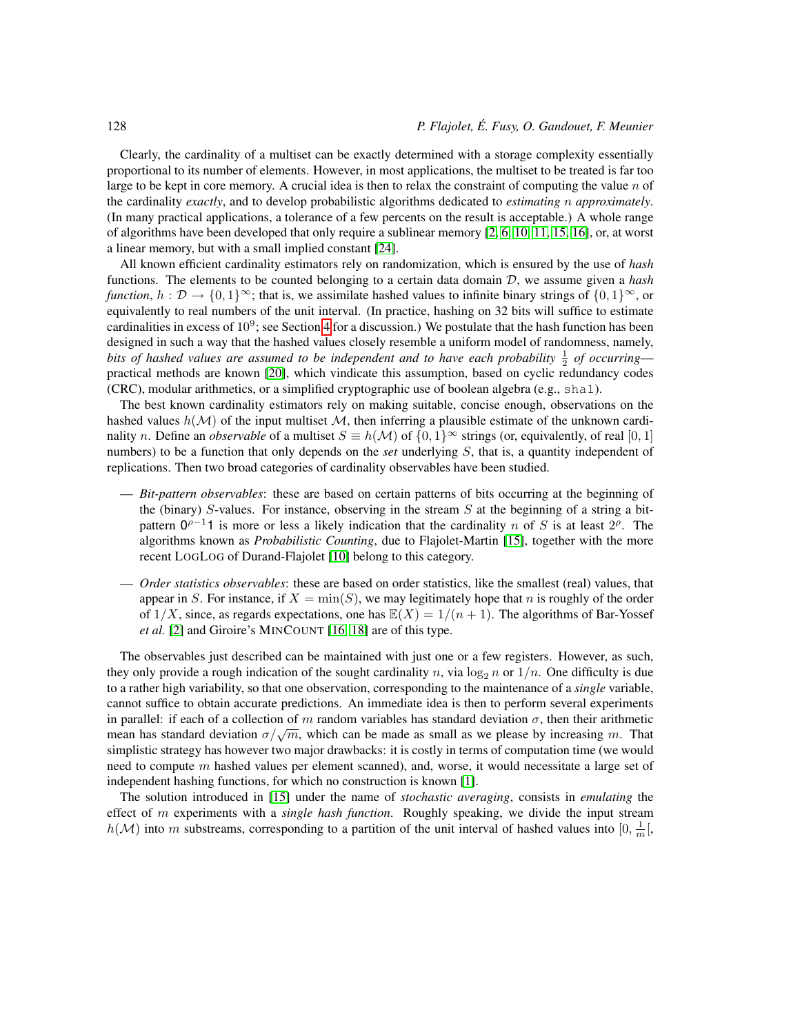Clearly, the cardinality of a multiset can be exactly determined with a storage complexity essentially proportional to its number of elements. However, in most applications, the multiset to be treated is far too large to be kept in core memory. A crucial idea is then to relax the constraint of computing the value  $n$  of the cardinality *exactly*, and to develop probabilistic algorithms dedicated to *estimating* n *approximately*. (In many practical applications, a tolerance of a few percents on the result is acceptable.) A whole range of algorithms have been developed that only require a sublinear memory [\[2,](#page-16-1) [6,](#page-17-5) [10,](#page-17-6) [11,](#page-17-0) [15,](#page-17-7) [16\]](#page-17-8), or, at worst a linear memory, but with a small implied constant [\[24\]](#page-18-1).

All known efficient cardinality estimators rely on randomization, which is ensured by the use of *hash* functions. The elements to be counted belonging to a certain data domain D, we assume given a *hash function*,  $h : \mathcal{D} \to \{0,1\}^{\infty}$ ; that is, we assimilate hashed values to infinite binary strings of  $\{0,1\}^{\infty}$ , or equivalently to real numbers of the unit interval. (In practice, hashing on 32 bits will suffice to estimate cardinalities in excess of  $10^9$ ; see Section [4](#page-12-0) for a discussion.) We postulate that the hash function has been designed in such a way that the hashed values closely resemble a uniform model of randomness, namely, bits of hashed values are assumed to be independent and to have each probability  $\frac{1}{2}$  of occurring practical methods are known [\[20\]](#page-17-9), which vindicate this assumption, based on cyclic redundancy codes (CRC), modular arithmetics, or a simplified cryptographic use of boolean algebra (e.g., sha1).

The best known cardinality estimators rely on making suitable, concise enough, observations on the hashed values  $h(\mathcal{M})$  of the input multiset  $\mathcal{M}$ , then inferring a plausible estimate of the unknown cardinality n. Define an *observable* of a multiset  $S \equiv h(\mathcal{M})$  of  $\{0,1\}^{\infty}$  strings (or, equivalently, of real [0, 1] numbers) to be a function that only depends on the *set* underlying S, that is, a quantity independent of replications. Then two broad categories of cardinality observables have been studied.

- *Bit-pattern observables*: these are based on certain patterns of bits occurring at the beginning of the (binary) S-values. For instance, observing in the stream  $S$  at the beginning of a string a bitpattern  $0^{p-1}$ 1 is more or less a likely indication that the cardinality n of S is at least  $2^p$ . The algorithms known as *Probabilistic Counting*, due to Flajolet-Martin [\[15\]](#page-17-7), together with the more recent LOGLOG of Durand-Flajolet [\[10\]](#page-17-6) belong to this category.
- *Order statistics observables*: these are based on order statistics, like the smallest (real) values, that appear in S. For instance, if  $X = min(S)$ , we may legitimately hope that n is roughly of the order of  $1/X$ , since, as regards expectations, one has  $\mathbb{E}(X) = 1/(n+1)$ . The algorithms of Bar-Yossef *et al.* [\[2\]](#page-16-1) and Giroire's MINCOUNT [\[16,](#page-17-8) [18\]](#page-17-4) are of this type.

The observables just described can be maintained with just one or a few registers. However, as such, they only provide a rough indication of the sought cardinality n, via  $\log_2 n$  or  $1/n$ . One difficulty is due to a rather high variability, so that one observation, corresponding to the maintenance of a *single* variable, cannot suffice to obtain accurate predictions. An immediate idea is then to perform several experiments in parallel: if each of a collection of m random variables has standard deviation  $\sigma$ , then their arithmetic m parametering a concerned of *m* random variables has standard deviation  $\sigma$ , then their arithmetic mean has standard deviation  $\sigma/\sqrt{m}$ , which can be made as small as we please by increasing m. That simplistic strategy has however two major drawbacks: it is costly in terms of computation time (we would need to compute  $m$  hashed values per element scanned), and, worse, it would necessitate a large set of independent hashing functions, for which no construction is known [\[1\]](#page-16-2).

The solution introduced in [\[15\]](#page-17-7) under the name of *stochastic averaging*, consists in *emulating* the effect of m experiments with a *single hash function*. Roughly speaking, we divide the input stream  $h(\mathcal{M})$  into m substreams, corresponding to a partition of the unit interval of hashed values into  $[0, \frac{1}{m}],$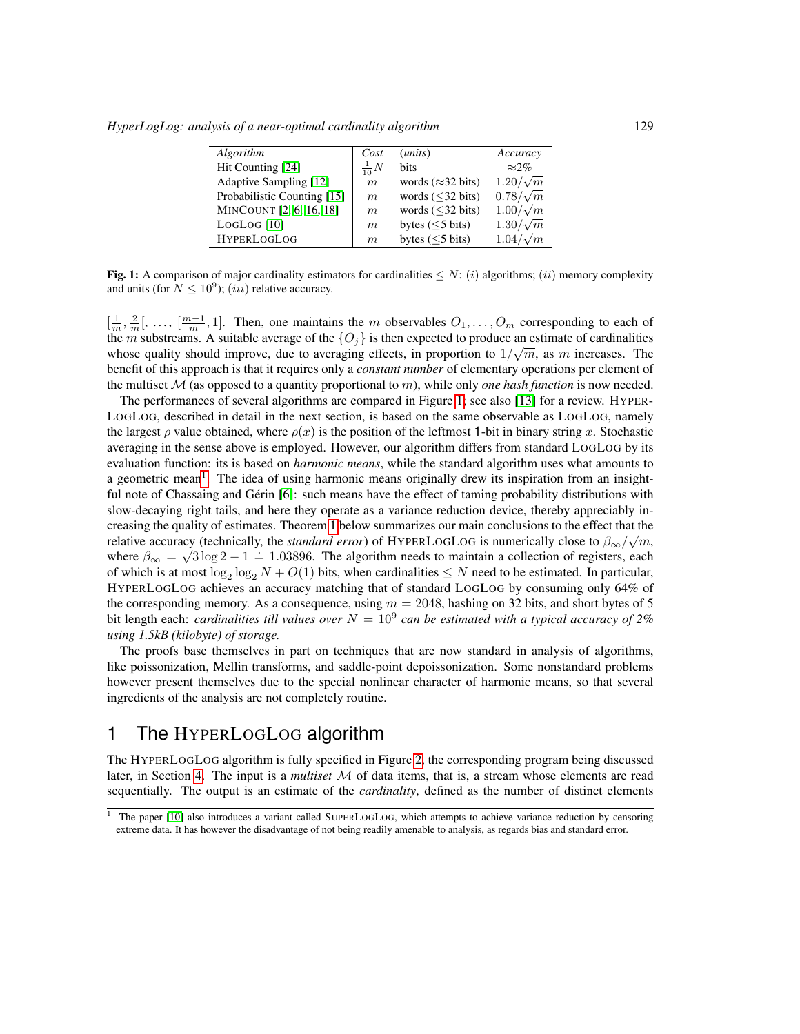*HyperLogLog: analysis of a near-optimal cardinality algorithm* 129

| Algorithm                   | Cost            | ( <i>units</i> )               | Accuracy        |
|-----------------------------|-----------------|--------------------------------|-----------------|
| Hit Counting [24]           | $\frac{1}{10}N$ | <b>bits</b>                    | $\approx 2\%$   |
| Adaptive Sampling [12]      | m               | words ( $\approx$ 32 bits)     | $1.20/\sqrt{m}$ |
| Probabilistic Counting [15] | m               | words $(\leq 32 \text{ bits})$ | $0.78/\sqrt{m}$ |
| MINCOUNT [2, 6, 16, 18]     | m               | words $(\leq 32 \text{ bits})$ | $1.00/\sqrt{m}$ |
| LogLog [10]                 | m               | bytes $(\leq 5$ bits)          | $1.30/\sqrt{m}$ |
| <b>HYPERLOGLOG</b>          | $m_{\rm c}$     | bytes $(\leq 5$ bits)          | $1.04/\sqrt{m}$ |
|                             |                 |                                |                 |

<span id="page-2-0"></span>**Fig. 1:** A comparison of major cardinality estimators for cardinalities  $\leq N$ : (i) algorithms; (ii) memory complexity and units (for  $N \leq 10^9$ ); (*iii*) relative accuracy.

 $[\frac{1}{m}, \frac{2}{m}], \ldots, [\frac{m-1}{m}, 1]$ . Then, one maintains the m observables  $O_1, \ldots, O_m$  corresponding to each of the m substreams. A suitable average of the  $\{O_j\}$  is then expected to produce an estimate of cardinalities whose quality should improve, due to averaging effects, in proportion to  $1/\sqrt{m}$ , as m increases. The benefit of this approach is that it requires only a *constant number* of elementary operations per element of the multiset  $M$  (as opposed to a quantity proportional to  $m$ ), while only *one hash function* is now needed.

The performances of several algorithms are compared in Figure [1;](#page-2-0) see also [\[13\]](#page-17-11) for a review. HYPER-LOGLOG, described in detail in the next section, is based on the same observable as LOGLOG, namely the largest  $\rho$  value obtained, where  $\rho(x)$  is the position of the leftmost 1-bit in binary string x. Stochastic averaging in the sense above is employed. However, our algorithm differs from standard LOGLOG by its evaluation function: its is based on *harmonic means*, while the standard algorithm uses what amounts to a geometric mean<sup>[1](#page-2-1)</sup>. The idea of using harmonic means originally drew its inspiration from an insightful note of Chassaing and Gérin [\[6\]](#page-17-5): such means have the effect of taming probability distributions with slow-decaying right tails, and here they operate as a variance reduction device, thereby appreciably in-creasing the quality of estimates. Theorem [1](#page-4-0) below summarizes our main conclusions to the effect that the relative accuracy (technically, the *standard error*) of HYPERLOGLOG is numerically close to  $\beta_{\infty}/\sqrt{m}$ , where  $\beta_{\infty} = \sqrt{3 \log 2 - 1} = 1.03896$ . The algorithm needs to maintain a collection of registers, each of which is at most  $\log_2 \log_2 N + O(1)$  bits, when cardinalities  $\leq N$  need to be estimated. In particular, HYPERLOGLOG achieves an accuracy matching that of standard LOGLOG by consuming only 64% of the corresponding memory. As a consequence, using  $m = 2048$ , hashing on 32 bits, and short bytes of 5 bit length each: *cardinalities till values over*  $N = 10<sup>9</sup>$  *can be estimated with a typical accuracy of* 2% *using 1.5kB (kilobyte) of storage.*

The proofs base themselves in part on techniques that are now standard in analysis of algorithms, like poissonization, Mellin transforms, and saddle-point depoissonization. Some nonstandard problems however present themselves due to the special nonlinear character of harmonic means, so that several ingredients of the analysis are not completely routine.

# 1 The HYPERLOGLOG algorithm

The HYPERLOGLOG algorithm is fully specified in Figure [2,](#page-3-0) the corresponding program being discussed later, in Section [4.](#page-12-0) The input is a *multiset* M of data items, that is, a stream whose elements are read sequentially. The output is an estimate of the *cardinality*, defined as the number of distinct elements

<span id="page-2-1"></span><sup>&</sup>lt;sup>1</sup> The paper [\[10\]](#page-17-6) also introduces a variant called SUPERLOGLOG, which attempts to achieve variance reduction by censoring extreme data. It has however the disadvantage of not being readily amenable to analysis, as regards bias and standard error.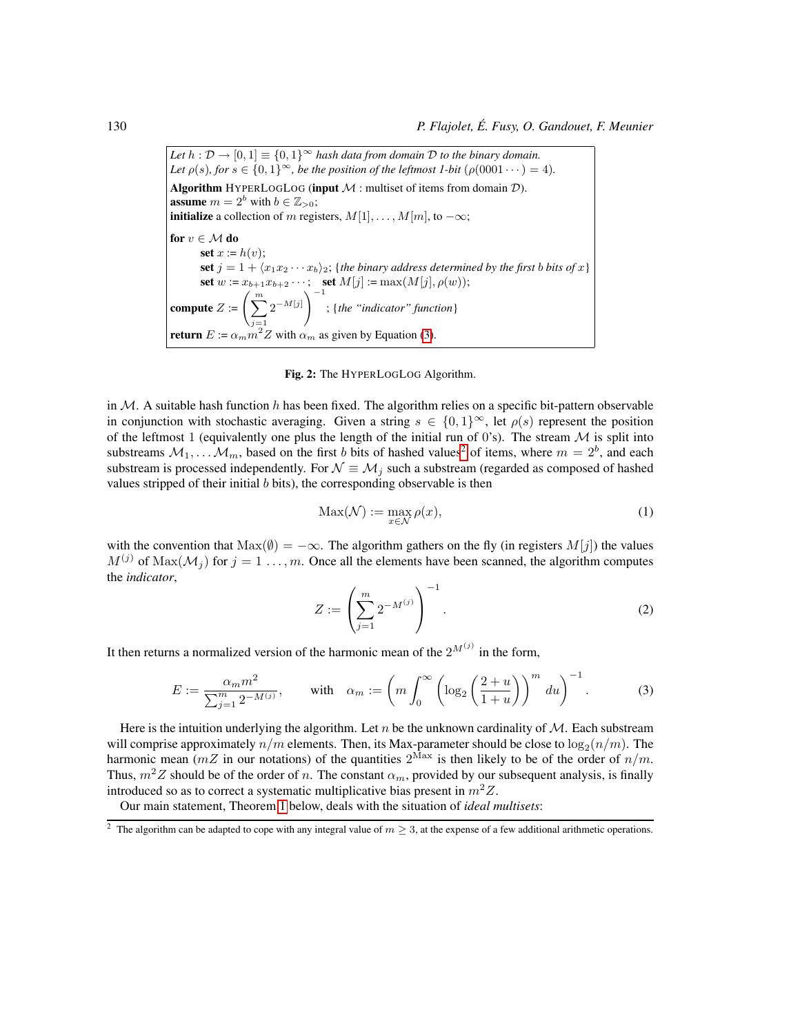*Let*  $h : \mathcal{D} \to [0, 1] \equiv \{0, 1\}^{\infty}$  *hash data from domain*  $\mathcal{D}$  *to the binary domain. Let*  $\rho(s)$ *, for*  $s \in \{0,1\}^{\infty}$ *, be the position of the leftmost 1-bit*  $(\rho(0001 \cdots) = 4)$ *.* Algorithm HYPERLOGLOG (input  $M$  : multiset of items from domain  $D$ ). **assume**  $m = 2^b$  with  $b \in \mathbb{Z}_{>0}$ ; **initialize** a collection of m registers,  $M[1], \ldots, M[m]$ , to  $-\infty$ ; for  $v \in \mathcal{M}$  do set  $x := h(v)$ ; set  $j = 1 + \langle x_1x_2 \cdots x_b \rangle_2$ ; {*the binary address determined by the first b bits of* x} set  $w := x_{b+1}x_{b+2} \cdots$ ; set  $M[j] := \max(M[j], \rho(w));$ compute  $Z :=$  $j=1$  $2^{-M[j]}$ <sup>-1</sup> ; {*the "indicator" function*} **return**  $E := \alpha_m m^2 Z$  with  $\alpha_m$  as given by Equation [\(3\)](#page-3-1).

Fig. 2: The HYPERLOGLOG Algorithm.

<span id="page-3-0"></span>in  $M$ . A suitable hash function h has been fixed. The algorithm relies on a specific bit-pattern observable in conjunction with stochastic averaging. Given a string  $s \in \{0,1\}^{\infty}$ , let  $\rho(s)$  represent the position of the leftmost 1 (equivalently one plus the length of the initial run of 0's). The stream  $M$  is split into substreams  $M_1, \ldots, M_m$ , based on the first b bits of hashed values<sup>[2](#page-3-2)</sup> of items, where  $m = 2^b$ , and each substream is processed independently. For  $\mathcal{N} \equiv \mathcal{M}_i$  such a substream (regarded as composed of hashed values stripped of their initial  $b$  bits), the corresponding observable is then

$$
Max(\mathcal{N}) := \max_{x \in \mathcal{N}} \rho(x),\tag{1}
$$

<span id="page-3-3"></span>with the convention that  $Max(\emptyset) = -\infty$ . The algorithm gathers on the fly (in registers  $M[j]$ ) the values  $M^{(j)}$  of  $\text{Max}(\mathcal{M}_j)$  for  $j = 1, ..., m$ . Once all the elements have been scanned, the algorithm computes the *indicator*,

<span id="page-3-1"></span>
$$
Z := \left(\sum_{j=1}^{m} 2^{-M^{(j)}}\right)^{-1}.
$$
 (2)

It then returns a normalized version of the harmonic mean of the  $2^{M^{(j)}}$  in the form,

$$
E := \frac{\alpha_m m^2}{\sum_{j=1}^m 2^{-M^{(j)}}}, \quad \text{with} \quad \alpha_m := \left( m \int_0^\infty \left( \log_2 \left( \frac{2+u}{1+u} \right) \right)^m du \right)^{-1}.
$$
 (3)

Here is the intuition underlying the algorithm. Let  $n$  be the unknown cardinality of  $M$ . Each substream will comprise approximately  $n/m$  elements. Then, its Max-parameter should be close to  $\log_2(n/m)$ . The harmonic mean ( $mZ$  in our notations) of the quantities  $2^{Max}$  is then likely to be of the order of  $n/m$ . Thus,  $m^2 Z$  should be of the order of n. The constant  $\alpha_m$ , provided by our subsequent analysis, is finally introduced so as to correct a systematic multiplicative bias present in  $m^2Z$ .

Our main statement, Theorem [1](#page-4-0) below, deals with the situation of *ideal multisets*:

<span id="page-3-2"></span><sup>&</sup>lt;sup>2</sup> The algorithm can be adapted to cope with any integral value of  $m \geq 3$ , at the expense of a few additional arithmetic operations.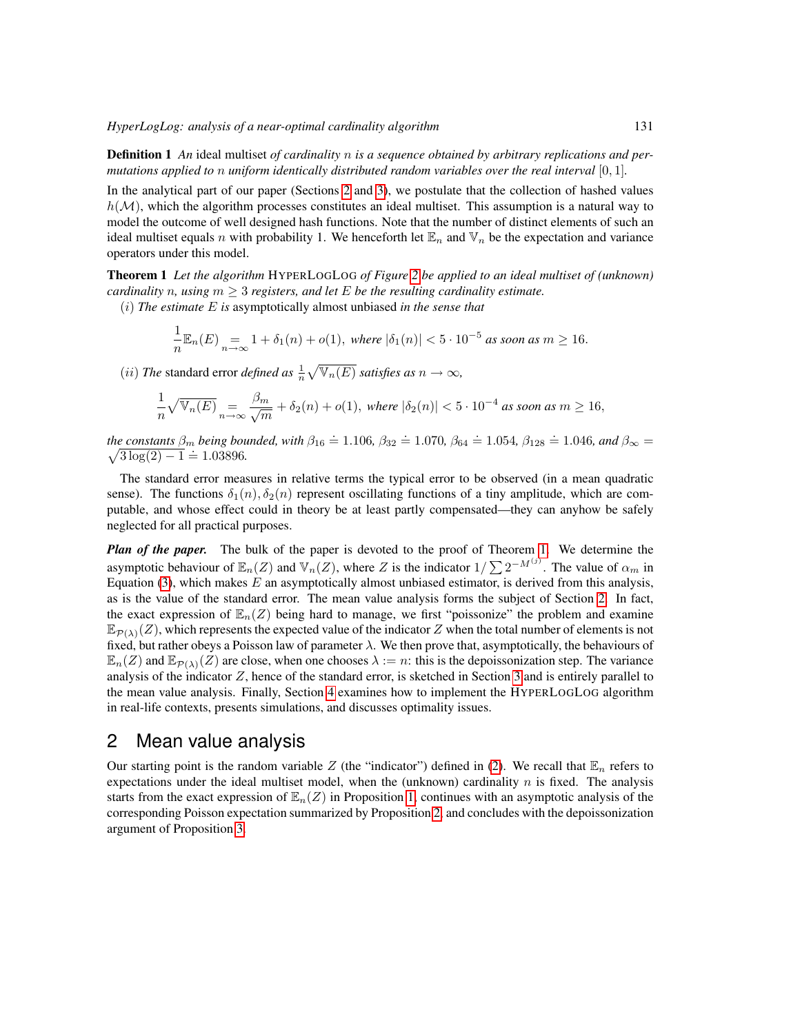Definition 1 *An* ideal multiset *of cardinality* n *is a sequence obtained by arbitrary replications and permutations applied to* n *uniform identically distributed random variables over the real interval* [0, 1]*.*

In the analytical part of our paper (Sections [2](#page-4-1) and [3\)](#page-11-0), we postulate that the collection of hashed values  $h(\mathcal{M})$ , which the algorithm processes constitutes an ideal multiset. This assumption is a natural way to model the outcome of well designed hash functions. Note that the number of distinct elements of such an ideal multiset equals n with probability 1. We henceforth let  $\mathbb{E}_n$  and  $\mathbb{V}_n$  be the expectation and variance operators under this model.

<span id="page-4-0"></span>Theorem 1 *Let the algorithm* HYPERLOGLOG *of Figure [2](#page-3-0) be applied to an ideal multiset of (unknown) cardinality n, using*  $m \geq 3$  *registers, and let*  $E$  *be the resulting cardinality estimate.* 

(i) *The estimate* E *is* asymptotically almost unbiased *in the sense that*

$$
\frac{1}{n}\mathbb{E}_n(E)\underset{n\to\infty}{=}1+\delta_1(n)+o(1),\text{ where }|\delta_1(n)|<5\cdot10^{-5}\text{ as soon as }m\geq16.
$$

(*ii*) *The* standard error *defined as*  $\frac{1}{n}\sqrt{\mathbb{V}_n(E)}$  *satisfies as*  $n \to \infty$ *,* 

$$
\frac{1}{n}\sqrt{\mathbb{V}_n(E)}\underset{n\to\infty}{=}\frac{\beta_m}{\sqrt{m}}+\delta_2(n)+o(1),\text{ where }|\delta_2(n)|<5\cdot10^{-4}\text{ as soon as }m\geq16,
$$

*the constants*  $\beta_m$  *being bounded, with*  $\beta_{16} \doteq 1.106$ ,  $\beta_{32} \doteq 1.070$ ,  $\beta_{64} \doteq 1.054$ ,  $\beta_{128} \doteq 1.046$ , and  $\beta_{\infty} =$  $\sqrt{3 \log(2) - 1} \approx 1.03896.$ 

The standard error measures in relative terms the typical error to be observed (in a mean quadratic sense). The functions  $\delta_1(n), \delta_2(n)$  represent oscillating functions of a tiny amplitude, which are computable, and whose effect could in theory be at least partly compensated—they can anyhow be safely neglected for all practical purposes.

*Plan of the paper.* The bulk of the paper is devoted to the proof of Theorem [1.](#page-4-0) We determine the asymptotic behaviour of  $\mathbb{E}_n(Z)$  and  $\mathbb{V}_n(Z)$ , where Z is the indicator  $1/\sum 2^{-M^{(j)}}$ . The value of  $\alpha_m$  in Equation [\(3\)](#page-3-1), which makes  $E$  an asymptotically almost unbiased estimator, is derived from this analysis, as is the value of the standard error. The mean value analysis forms the subject of Section [2.](#page-4-1) In fact, the exact expression of  $\mathbb{E}_n(Z)$  being hard to manage, we first "poissonize" the problem and examine  $\mathbb{E}_{\mathcal{P}(\lambda)}(Z)$ , which represents the expected value of the indicator Z when the total number of elements is not fixed, but rather obeys a Poisson law of parameter  $\lambda$ . We then prove that, asymptotically, the behaviours of  $\mathbb{E}_n(Z)$  and  $\mathbb{E}_{\mathcal{P}(\lambda)}(Z)$  are close, when one chooses  $\lambda := n$ : this is the depoissonization step. The variance analysis of the indicator Z, hence of the standard error, is sketched in Section [3](#page-11-0) and is entirely parallel to the mean value analysis. Finally, Section [4](#page-12-0) examines how to implement the HYPERLOGLOG algorithm in real-life contexts, presents simulations, and discusses optimality issues.

# <span id="page-4-1"></span>2 Mean value analysis

Our starting point is the random variable Z (the "indicator") defined in [\(2\)](#page-3-3). We recall that  $\mathbb{E}_n$  refers to expectations under the ideal multiset model, when the (unknown) cardinality  $n$  is fixed. The analysis starts from the exact expression of  $\mathbb{E}_n(Z)$  in Proposition [1,](#page-5-0) continues with an asymptotic analysis of the corresponding Poisson expectation summarized by Proposition [2,](#page-5-1) and concludes with the depoissonization argument of Proposition [3.](#page-9-0)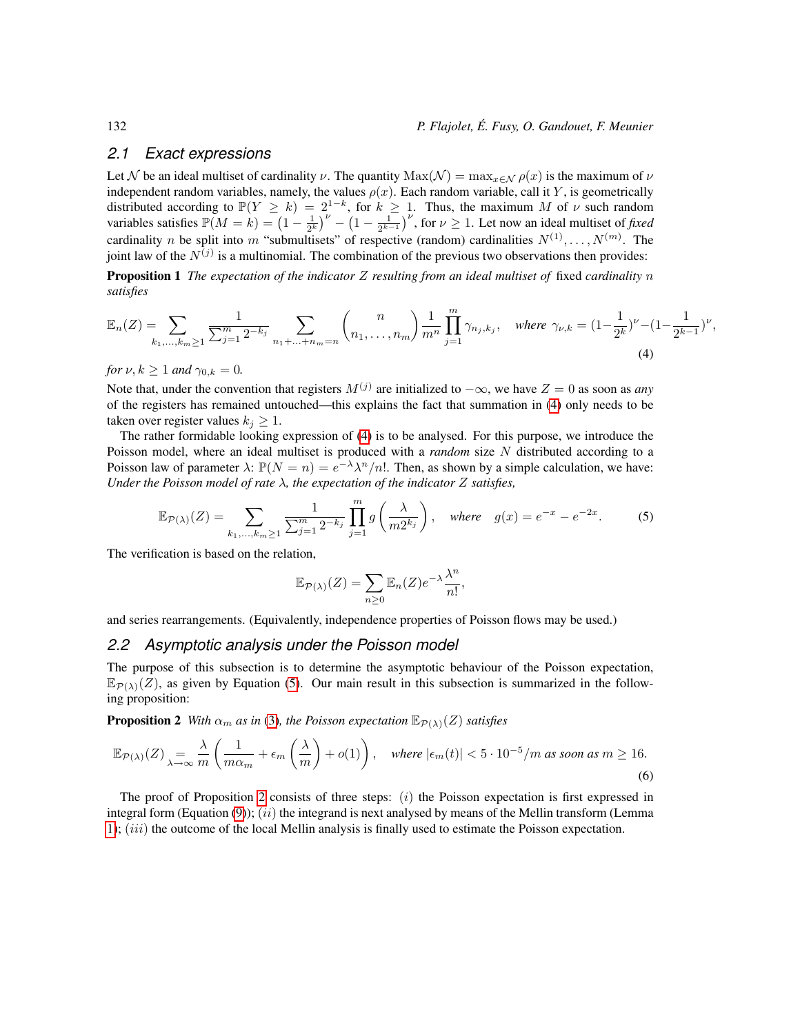## *2.1 Exact expressions*

Let N be an ideal multiset of cardinality  $\nu$ . The quantity Max(N) =  $\max_{x \in \mathcal{N}} \rho(x)$  is the maximum of  $\nu$ independent random variables, namely, the values  $\rho(x)$ . Each random variable, call it Y, is geometrically distributed according to  $\mathbb{P}(Y \ge k) = 2^{1-k}$ , for  $k \ge 1$ . Thus, the maximum M of  $\nu$  such random variables satisfies  $\mathbb{P}(M = k) = (1 - \frac{1}{2^k})^{\nu} - (1 - \frac{1}{2^{k-1}})^{\nu}$ , for  $\nu \geq 1$ . Let now an ideal multiset of *fixed* cardinality n be split into m "submultisets" of respective (random) cardinalities  $N^{(1)}, \ldots, N^{(m)}$ . The joint law of the  $N^{(j)}$  is a multinomial. The combination of the previous two observations then provides:

<span id="page-5-2"></span>Proposition 1 *The expectation of the indicator* Z *resulting from an ideal multiset of* fixed *cardinality* n *satisfies*

$$
\mathbb{E}_n(Z) = \sum_{k_1,\dots,k_m \ge 1} \frac{1}{\sum_{j=1}^m 2^{-k_j}} \sum_{n_1+\dots+n_m = n} \binom{n}{n_1,\dots,n_m} \frac{1}{m^n} \prod_{j=1}^m \gamma_{n_j,k_j}, \quad \text{where } \gamma_{\nu,k} = (1 - \frac{1}{2^k})^{\nu} - (1 - \frac{1}{2^{k-1}})^{\nu}, \tag{4}
$$

*for*  $\nu, k \geq 1$  *and*  $\gamma_{0,k} = 0$ *.* 

Note that, under the convention that registers  $M^{(j)}$  are initialized to  $-\infty$ , we have  $Z = 0$  as soon as *any* of the registers has remained untouched—this explains the fact that summation in [\(4\)](#page-5-2) only needs to be taken over register values  $k_j \geq 1$ .

The rather formidable looking expression of [\(4\)](#page-5-2) is to be analysed. For this purpose, we introduce the Poisson model, where an ideal multiset is produced with a *random* size N distributed according to a Poisson law of parameter  $\lambda$ :  $\mathbb{P}(N = n) = e^{-\lambda} \lambda^n/n!$ . Then, as shown by a simple calculation, we have: *Under the Poisson model of rate* λ*, the expectation of the indicator* Z *satisfies,*

$$
\mathbb{E}_{\mathcal{P}(\lambda)}(Z) = \sum_{k_1, ..., k_m \ge 1} \frac{1}{\sum_{j=1}^m 2^{-k_j}} \prod_{j=1}^m g\left(\frac{\lambda}{m 2^{k_j}}\right), \text{ where } g(x) = e^{-x} - e^{-2x}.
$$
 (5)

The verification is based on the relation,

<span id="page-5-3"></span><span id="page-5-0"></span>
$$
\mathbb{E}_{\mathcal{P}(\lambda)}(Z) = \sum_{n \geq 0} \mathbb{E}_n(Z) e^{-\lambda} \frac{\lambda^n}{n!},
$$

and series rearrangements. (Equivalently, independence properties of Poisson flows may be used.)

#### <span id="page-5-4"></span>*2.2 Asymptotic analysis under the Poisson model*

The purpose of this subsection is to determine the asymptotic behaviour of the Poisson expectation,  $\mathbb{E}_{\mathcal{P}(\lambda)}(Z)$ , as given by Equation [\(5\)](#page-5-3). Our main result in this subsection is summarized in the following proposition:

<span id="page-5-1"></span>**Proposition 2** *With*  $\alpha_m$  *as in* [\(3\)](#page-3-1)*, the Poisson expectation*  $\mathbb{E}_{\mathcal{P}(\lambda)}(Z)$  *satisfies* 

$$
\mathbb{E}_{\mathcal{P}(\lambda)}(Z) = \frac{\lambda}{\lambda - \infty} \frac{1}{m} \left( \frac{1}{m\alpha_m} + \epsilon_m \left( \frac{\lambda}{m} \right) + o(1) \right), \quad \text{where } |\epsilon_m(t)| < 5 \cdot 10^{-5} / m \text{ as soon as } m \ge 16. \tag{6}
$$

The proof of Proposition [2](#page-5-1) consists of three steps:  $(i)$  the Poisson expectation is first expressed in integral form (Equation [\(9\)](#page-6-0));  $(ii)$  the integrand is next analysed by means of the Mellin transform (Lemma [1\)](#page-6-1);  $(iii)$  the outcome of the local Mellin analysis is finally used to estimate the Poisson expectation.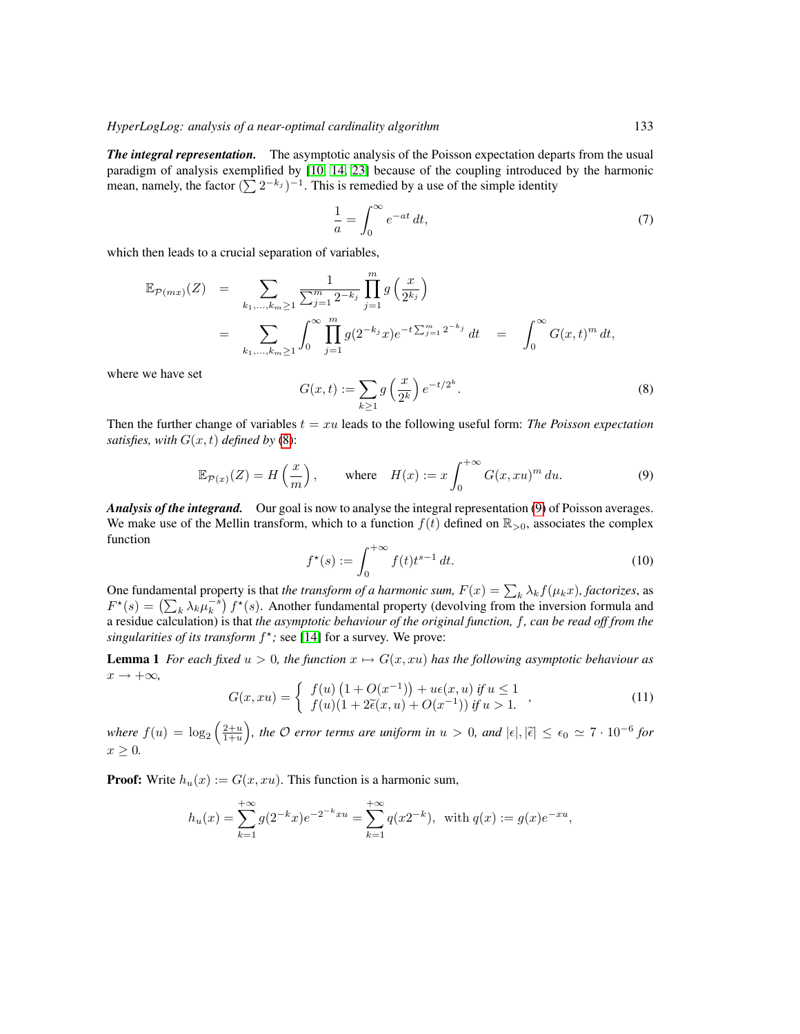*The integral representation.* The asymptotic analysis of the Poisson expectation departs from the usual paradigm of analysis exemplified by [\[10,](#page-17-6) [14,](#page-17-12) [23\]](#page-18-2) because of the coupling introduced by the harmonic mean, namely, the factor  $(\sum 2^{-k_j})^{-1}$ . This is remedied by a use of the simple identity

$$
\frac{1}{a} = \int_0^\infty e^{-at} dt,\tag{7}
$$

which then leads to a crucial separation of variables,

$$
\mathbb{E}_{\mathcal{P}(mx)}(Z) = \sum_{k_1,\dots,k_m \ge 1} \frac{1}{\sum_{j=1}^m 2^{-k_j}} \prod_{j=1}^m g\left(\frac{x}{2^{k_j}}\right)
$$
  
= 
$$
\sum_{k_1,\dots,k_m \ge 1} \int_0^\infty \prod_{j=1}^m g(2^{-k_j}x) e^{-t \sum_{j=1}^m 2^{-k_j}} dt = \int_0^\infty G(x,t)^m dt,
$$

where we have set

<span id="page-6-2"></span><span id="page-6-0"></span>
$$
G(x,t) := \sum_{k\geq 1} g\left(\frac{x}{2^k}\right) e^{-t/2^k}.
$$
\n
$$
(8)
$$

Then the further change of variables  $t = xu$  leads to the following useful form: *The Poisson expectation satisfies, with*  $G(x, t)$  *defined by* [\(8\)](#page-6-2):

$$
\mathbb{E}_{\mathcal{P}(x)}(Z) = H\left(\frac{x}{m}\right), \qquad \text{where} \quad H(x) := x \int_0^{+\infty} G(x, xu)^m \, du. \tag{9}
$$

*Analysis of the integrand.* Our goal is now to analyse the integral representation [\(9\)](#page-6-0) of Poisson averages. We make use of the Mellin transform, which to a function  $f(t)$  defined on  $\mathbb{R}_{>0}$ , associates the complex function

$$
f^{\star}(s) := \int_0^{+\infty} f(t)t^{s-1} dt.
$$
 (10)

One fundamental property is that *the transform of a harmonic sum,*  $F(x) = \sum_k \lambda_k f(\mu_k x)$ *, factorizes*, as  $F^*(s) = (\sum_k \lambda_k \mu_k^{-s}) f^*(s)$ . Another fundamental property (devolving from the inversion formula and a residue calculation) is that *the asymptotic behaviour of the original function,* f*, can be read off from the* singularities of its transform  $f^*$ ; see [\[14\]](#page-17-12) for a survey. We prove:

<span id="page-6-1"></span>**Lemma 1** *For each fixed*  $u > 0$ *, the function*  $x \mapsto G(x, xu)$  *has the following asymptotic behaviour as*  $x \rightarrow +\infty$ ,

$$
G(x, xu) = \begin{cases} f(u) (1 + O(x^{-1})) + u\epsilon(x, u) \text{ if } u \le 1 \\ f(u) (1 + 2\tilde{\epsilon}(x, u) + O(x^{-1})) \text{ if } u > 1. \end{cases}
$$
 (11)

 $where f(u) = log_2(\frac{2+u}{1+u})$ , the  $\mathcal O$  error terms are uniform in  $u > 0$ , and  $|\epsilon|, |\tilde{\epsilon}| \le \epsilon_0 \simeq 7 \cdot 10^{-6}$  for  $x \geq 0$ .

**Proof:** Write  $h_u(x) := G(x, xu)$ . This function is a harmonic sum,

$$
h_u(x) = \sum_{k=1}^{+\infty} g(2^{-k}x)e^{-2^{-k}xu} = \sum_{k=1}^{+\infty} q(x2^{-k}), \text{ with } q(x) := g(x)e^{-xu},
$$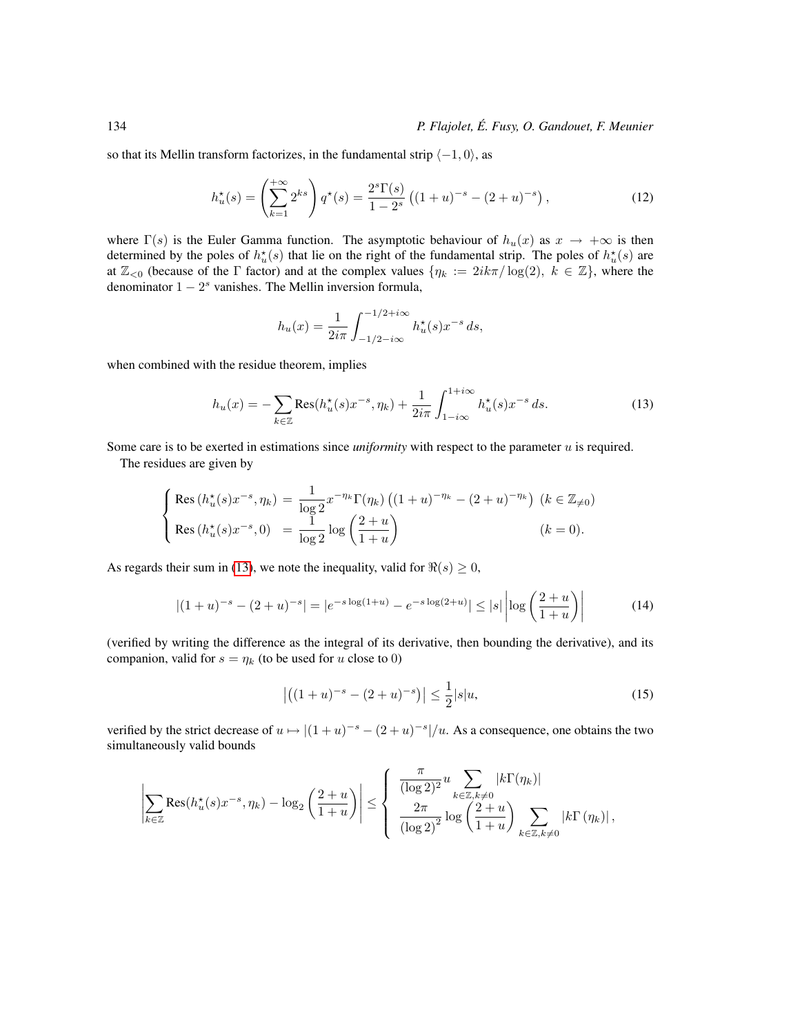so that its Mellin transform factorizes, in the fundamental strip  $\langle -1, 0 \rangle$ , as

$$
h_u^*(s) = \left(\sum_{k=1}^{+\infty} 2^{ks}\right) q^*(s) = \frac{2^s \Gamma(s)}{1 - 2^s} \left( (1 + u)^{-s} - (2 + u)^{-s} \right),\tag{12}
$$

where  $\Gamma(s)$  is the Euler Gamma function. The asymptotic behaviour of  $h_u(x)$  as  $x \to +\infty$  is then determined by the poles of  $h_u^*(s)$  that lie on the right of the fundamental strip. The poles of  $h_u^*(s)$  are at  $\mathbb{Z}_{\leq 0}$  (because of the  $\Gamma$  factor) and at the complex values  $\{\eta_k := 2ik\pi/\log(2), k \in \mathbb{Z}\}$ , where the denominator  $1 - 2<sup>s</sup>$  vanishes. The Mellin inversion formula,

<span id="page-7-0"></span>
$$
h_u(x) = \frac{1}{2i\pi} \int_{-1/2 - i\infty}^{-1/2 + i\infty} h_u^{\star}(s) x^{-s} ds,
$$

when combined with the residue theorem, implies

$$
h_u(x) = -\sum_{k \in \mathbb{Z}} \text{Res}(h_u^*(s)x^{-s}, \eta_k) + \frac{1}{2i\pi} \int_{1-i\infty}^{1+i\infty} h_u^*(s)x^{-s} ds.
$$
 (13)

Some care is to be exerted in estimations since *uniformity* with respect to the parameter u is required.

The residues are given by

$$
\begin{cases}\n\text{Res}\left(h_u^*(s)x^{-s},\eta_k\right) = \frac{1}{\log 2} x^{-\eta_k} \Gamma(\eta_k) \left((1+u)^{-\eta_k} - (2+u)^{-\eta_k}\right) \ (k \in \mathbb{Z}_{\neq 0}) \\
\text{Res}\left(h_u^*(s)x^{-s},0\right) = \frac{1}{\log 2} \log \left(\frac{2+u}{1+u}\right) \qquad (k=0).\n\end{cases}
$$

As regards their sum in [\(13\)](#page-7-0), we note the inequality, valid for  $\Re(s) \geq 0$ ,

$$
|(1+u)^{-s} - (2+u)^{-s}| = |e^{-s\log(1+u)} - e^{-s\log(2+u)}| \le |s| \left| \log\left(\frac{2+u}{1+u}\right) \right| \tag{14}
$$

(verified by writing the difference as the integral of its derivative, then bounding the derivative), and its companion, valid for  $s = \eta_k$  (to be used for u close to 0)

<span id="page-7-1"></span>
$$
\left| \left( (1+u)^{-s} - (2+u)^{-s} \right) \right| \le \frac{1}{2} |s| u,\tag{15}
$$

verified by the strict decrease of  $u \mapsto |(1+u)^{-s} - (2+u)^{-s}|/u$ . As a consequence, one obtains the two simultaneously valid bounds

$$
\left|\sum_{k\in\mathbb{Z}}\mathrm{Res}(h^\star_u(s)x^{-s},\eta_k)-\log_2\left(\frac{2+u}{1+u}\right)\right|\leq\left\{\begin{array}{l}\frac{\pi}{(\log2)^2}u\sum_{k\in\mathbb{Z},k\neq0}|k\Gamma(\eta_k)|\\\frac{2\pi}{(\log2)^2}\log\left(\frac{2+u}{1+u}\right)\sum_{k\in\mathbb{Z},k\neq0}|k\Gamma(\eta_k)|\,,\end{array}\right.
$$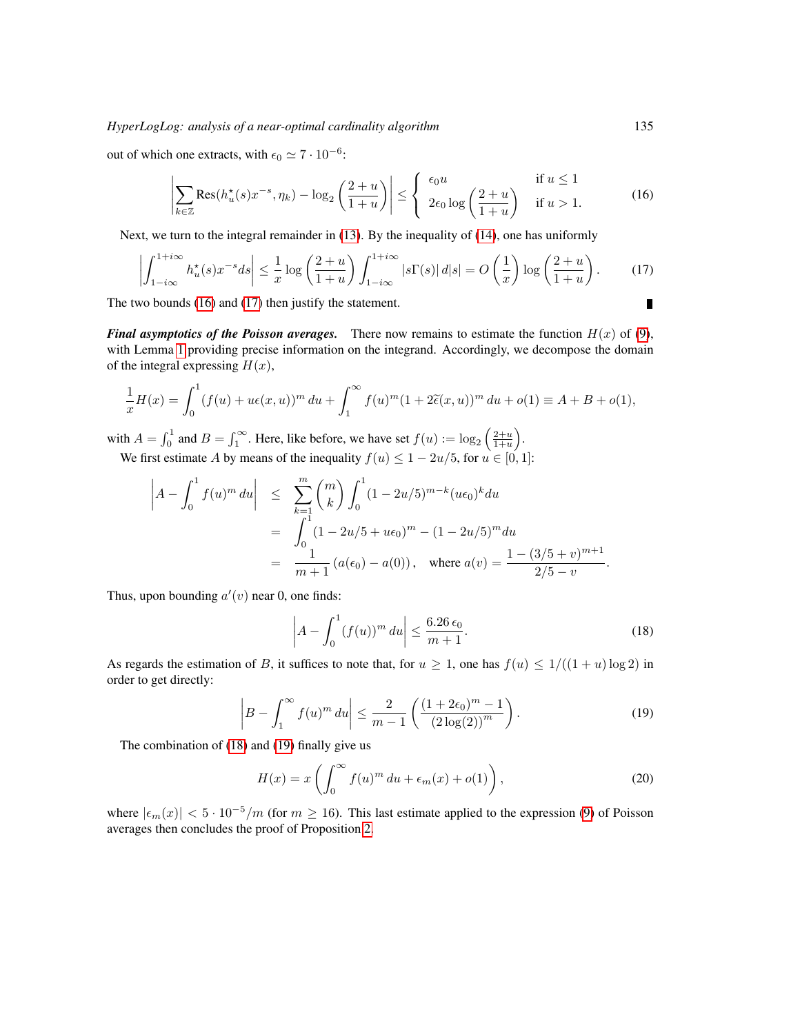#### *HyperLogLog: analysis of a near-optimal cardinality algorithm* 135

out of which one extracts, with  $\epsilon_0 \simeq 7 \cdot 10^{-6}$ :

<span id="page-8-0"></span>
$$
\left| \sum_{k \in \mathbb{Z}} \text{Res}(h_u^*(s) x^{-s}, \eta_k) - \log_2 \left( \frac{2+u}{1+u} \right) \right| \le \begin{cases} \epsilon_0 u & \text{if } u \le 1\\ 2\epsilon_0 \log \left( \frac{2+u}{1+u} \right) & \text{if } u > 1. \end{cases} \tag{16}
$$

Next, we turn to the integral remainder in [\(13\)](#page-7-0). By the inequality of [\(14\)](#page-7-1), one has uniformly

$$
\left| \int_{1-i\infty}^{1+i\infty} h_u^*(s) x^{-s} ds \right| \leq \frac{1}{x} \log \left( \frac{2+u}{1+u} \right) \int_{1-i\infty}^{1+i\infty} |s \Gamma(s)| \, d|s| = O\left( \frac{1}{x} \right) \log \left( \frac{2+u}{1+u} \right). \tag{17}
$$

The two bounds [\(16\)](#page-8-0) and [\(17\)](#page-8-1) then justify the statement.

*Final asymptotics of the Poisson averages.* There now remains to estimate the function  $H(x)$  of [\(9\)](#page-6-0), with Lemma [1](#page-6-1) providing precise information on the integrand. Accordingly, we decompose the domain of the integral expressing  $H(x)$ ,

$$
\frac{1}{x}H(x) = \int_0^1 (f(u) + u\epsilon(x, u))^m du + \int_1^\infty f(u)^m (1 + 2\tilde{\epsilon}(x, u))^m du + o(1) \equiv A + B + o(1),
$$

with  $A = \int_0^1$  and  $B = \int_1^\infty$ . Here, like before, we have set  $f(u) := \log_2 \left( \frac{2+u}{1+u} \right)$ . We first estimate A by means of the inequality  $f(u) \leq 1 - 2u/5$ , for  $u \in [0, 1]$ :

$$
\left| A - \int_0^1 f(u)^m du \right| \leq \sum_{k=1}^m {m \choose k} \int_0^1 (1 - 2u/5)^{m-k} (u\epsilon_0)^k du
$$
  
= 
$$
\int_0^1 (1 - 2u/5 + u\epsilon_0)^m - (1 - 2u/5)^m du
$$
  
= 
$$
\frac{1}{m+1} (a(\epsilon_0) - a(0)), \text{ where } a(v) = \frac{1 - (3/5 + v)^{m+1}}{2/5 - v}.
$$

Thus, upon bounding  $a'(v)$  near 0, one finds:

<span id="page-8-2"></span>
$$
\left| A - \int_0^1 (f(u))^m du \right| \le \frac{6.26 \epsilon_0}{m+1}.
$$
 (18)

As regards the estimation of B, it suffices to note that, for  $u \ge 1$ , one has  $f(u) \le 1/(1+u) \log 2$  in order to get directly:

<span id="page-8-3"></span>
$$
\left| B - \int_{1}^{\infty} f(u)^{m} du \right| \leq \frac{2}{m - 1} \left( \frac{(1 + 2\epsilon_{0})^{m} - 1}{(2 \log(2))^{m}} \right).
$$
 (19)

The combination of [\(18\)](#page-8-2) and [\(19\)](#page-8-3) finally give us

$$
H(x) = x \left( \int_0^\infty f(u)^m du + \epsilon_m(x) + o(1) \right), \tag{20}
$$

where  $|\epsilon_m(x)| < 5 \cdot 10^{-5}/m$  (for  $m \ge 16$ ). This last estimate applied to the expression [\(9\)](#page-6-0) of Poisson averages then concludes the proof of Proposition [2.](#page-5-1)

<span id="page-8-1"></span>П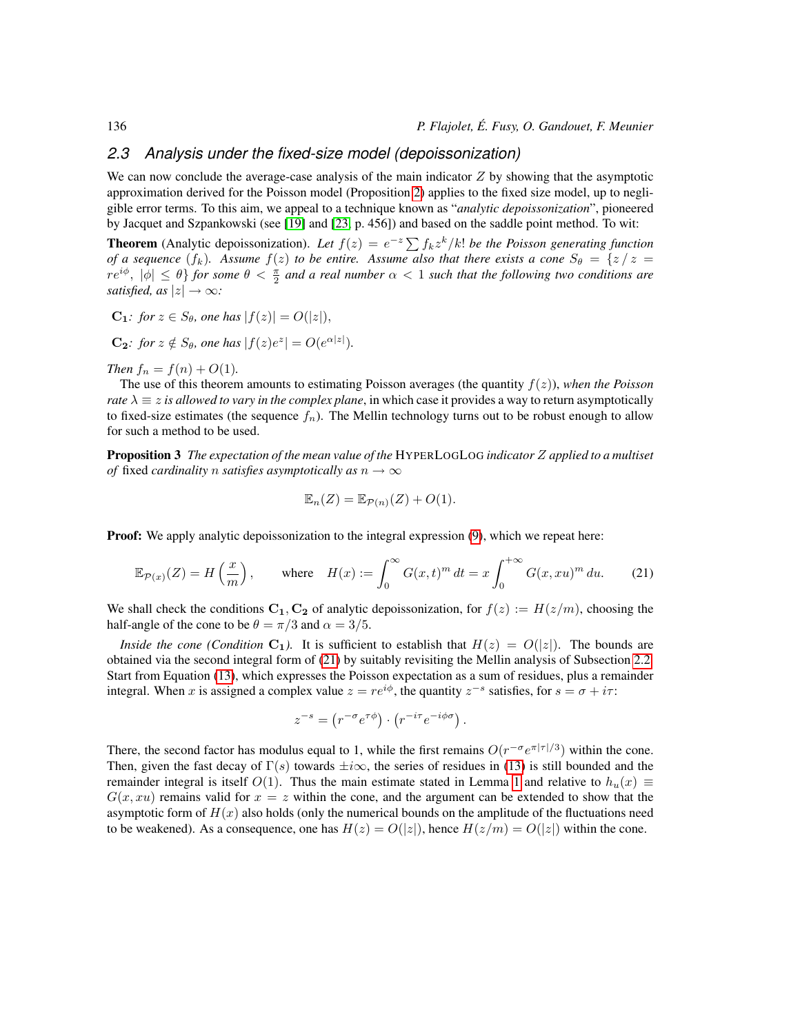## *2.3 Analysis under the fixed-size model (depoissonization)*

We can now conclude the average-case analysis of the main indicator  $Z$  by showing that the asymptotic approximation derived for the Poisson model (Proposition [2\)](#page-5-1) applies to the fixed size model, up to negligible error terms. To this aim, we appeal to a technique known as "*analytic depoissonization*", pioneered by Jacquet and Szpankowski (see [\[19\]](#page-17-13) and [\[23,](#page-18-2) p. 456]) and based on the saddle point method. To wit:

**Theorem** (Analytic depoissonization). Let  $f(z) = e^{-z} \sum f_k z^k / k!$  *be the Poisson generating function of a sequence*  $(f_k)$ *. Assume*  $f(z)$  *to be entire. Assume also that there exists a cone*  $S_\theta = \{z \mid z =$  $r e^{i\phi}$ ,  $|\phi| \le \theta$  *for some*  $\theta < \frac{\pi}{2}$  *and a real number*  $\alpha < 1$  *such that the following two conditions are satisfied, as*  $|z| \rightarrow \infty$ *:* 

$$
C_1: \text{ for } z \in S_\theta, \text{ one has } |f(z)| = O(|z|),
$$

**C**<sub>2</sub>*: for*  $z \notin S_\theta$ *, one has*  $|f(z)e^z| = O(e^{\alpha|z|})$ *.* 

*Then*  $f_n = f(n) + O(1)$ *.* 

The use of this theorem amounts to estimating Poisson averages (the quantity  $f(z)$ ), *when the Poisson rate*  $\lambda \equiv z$  *is allowed to vary in the complex plane*, in which case it provides a way to return asymptotically to fixed-size estimates (the sequence  $f_n$ ). The Mellin technology turns out to be robust enough to allow for such a method to be used.

<span id="page-9-0"></span>Proposition 3 *The expectation of the mean value of the* HYPERLOGLOG *indicator* Z *applied to a multiset of* fixed *cardinality n satisfies asymptotically as*  $n \rightarrow \infty$ 

<span id="page-9-1"></span>
$$
\mathbb{E}_n(Z) = \mathbb{E}_{\mathcal{P}(n)}(Z) + O(1).
$$

**Proof:** We apply analytic depoissonization to the integral expression  $(9)$ , which we repeat here:

$$
\mathbb{E}_{\mathcal{P}(x)}(Z) = H\left(\frac{x}{m}\right), \qquad \text{where} \quad H(x) := \int_0^\infty G(x, t)^m \, dt = x \int_0^{+\infty} G(x, xu)^m \, du. \tag{21}
$$

We shall check the conditions  $C_1, C_2$  of analytic depoissonization, for  $f(z) := H(z/m)$ , choosing the half-angle of the cone to be  $\theta = \pi/3$  and  $\alpha = 3/5$ .

*Inside the cone (Condition*  $C_1$ ). It is sufficient to establish that  $H(z) = O(|z|)$ . The bounds are obtained via the second integral form of [\(21\)](#page-9-1) by suitably revisiting the Mellin analysis of Subsection [2.2.](#page-5-4) Start from Equation [\(13\)](#page-7-0), which expresses the Poisson expectation as a sum of residues, plus a remainder integral. When x is assigned a complex value  $z = re^{i\phi}$ , the quantity  $z^{-s}$  satisfies, for  $s = \sigma + i\tau$ :

$$
z^{-s} = (r^{-\sigma}e^{\tau\phi}) \cdot (r^{-i\tau}e^{-i\phi\sigma}).
$$

There, the second factor has modulus equal to 1, while the first remains  $O(r^{-\sigma}e^{\pi|\tau|/3})$  within the cone. Then, given the fast decay of  $\Gamma(s)$  towards  $\pm i\infty$ , the series of residues in [\(13\)](#page-7-0) is still bounded and the remainder integral is itself  $O(1)$ . Thus the main estimate stated in Lemma [1](#page-6-1) and relative to  $h_u(x) \equiv$  $G(x, xu)$  remains valid for  $x = z$  within the cone, and the argument can be extended to show that the asymptotic form of  $H(x)$  also holds (only the numerical bounds on the amplitude of the fluctuations need to be weakened). As a consequence, one has  $H(z) = O(|z|)$ , hence  $H(z/m) = O(|z|)$  within the cone.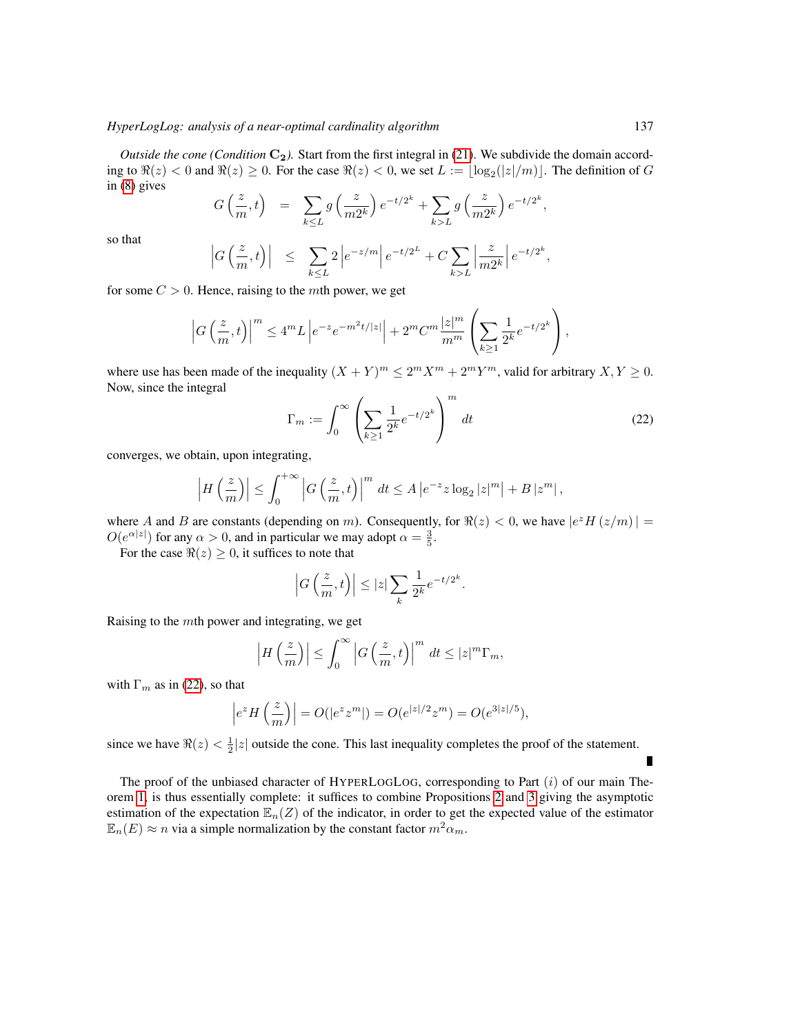*Outside the cone (Condition*  $C_2$ ). Start from the first integral in [\(21\)](#page-9-1). We subdivide the domain according to  $\Re(z) < 0$  and  $\Re(z) \ge 0$ . For the case  $\Re(z) < 0$ , we set  $L := \lfloor \log_2(|z|/m)| \rfloor$ . The definition of G in [\(8\)](#page-6-2) gives

$$
G\left(\frac{z}{m},t\right) = \sum_{k\leq L} g\left(\frac{z}{m2^k}\right) e^{-t/2^k} + \sum_{k>L} g\left(\frac{z}{m2^k}\right) e^{-t/2^k},
$$

so that

$$
\left|G\left(\frac{z}{m},t\right)\right| \leq \sum_{k\leq L} 2\left|e^{-z/m}\right|e^{-t/2^{L}} + C\sum_{k>L}\left|\frac{z}{m2^{k}}\right|e^{-t/2^{k}},
$$

for some  $C > 0$ . Hence, raising to the *mth* power, we get

$$
\left|G\left(\frac{z}{m},t\right)\right|^m \le 4^m L \left|e^{-z}e^{-m^2 t/|z|}\right| + 2^m C^m \frac{|z|^m}{m^m} \left(\sum_{k\ge 1} \frac{1}{2^k} e^{-t/2^k}\right),
$$

where use has been made of the inequality  $(X + Y)^m \le 2^m X^m + 2^m Y^m$ , valid for arbitrary  $X, Y \ge 0$ . Now, since the integral

<span id="page-10-0"></span>
$$
\Gamma_m := \int_0^\infty \left( \sum_{k \ge 1} \frac{1}{2^k} e^{-t/2^k} \right)^m dt \tag{22}
$$

converges, we obtain, upon integrating,

$$
\left|H\left(\frac{z}{m}\right)\right| \leq \int_0^{+\infty} \left|G\left(\frac{z}{m},t\right)\right|^m dt \leq A \left|e^{-z}z \log_2 |z|^m\right| + B \left|z^m\right|,
$$

where A and B are constants (depending on m). Consequently, for  $\Re(z) < 0$ , we have  $|e^z H(z/m)| =$  $O(e^{\alpha|z|})$  for any  $\alpha > 0$ , and in particular we may adopt  $\alpha = \frac{3}{5}$ .

For the case  $\Re(z) \geq 0$ , it suffices to note that

$$
\left|G\left(\frac{z}{m},t\right)\right|\leq |z|\sum_k \frac{1}{2^k}e^{-t/2^k}.
$$

Raising to the mth power and integrating, we get

$$
\left|H\left(\frac{z}{m}\right)\right| \leq \int_0^\infty \left|G\left(\frac{z}{m},t\right)\right|^m dt \leq |z|^m \Gamma_m,
$$

with  $\Gamma_m$  as in [\(22\)](#page-10-0), so that

$$
|e^z H(\frac{z}{m})| = O(|e^z z^m|) = O(e^{|z|/2} z^m) = O(e^{3|z|/5}),
$$

since we have  $\Re(z) < \frac{1}{2}|z|$  outside the cone. This last inequality completes the proof of the statement.

The proof of the unbiased character of HYPERLOGLOG, corresponding to Part  $(i)$  of our main Theorem [1,](#page-4-0) is thus essentially complete: it suffices to combine Propositions [2](#page-5-1) and [3](#page-9-0) giving the asymptotic estimation of the expectation  $\mathbb{E}_n(Z)$  of the indicator, in order to get the expected value of the estimator  $\mathbb{E}_n(E) \approx n$  via a simple normalization by the constant factor  $m^2 \alpha_m$ .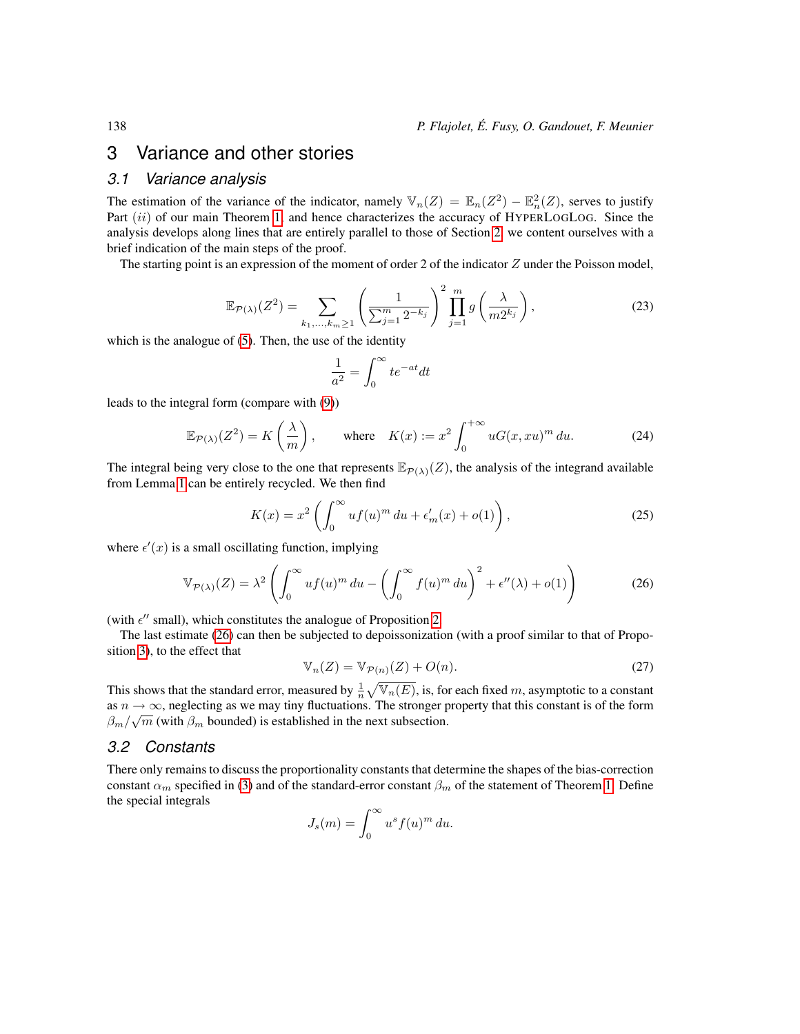# <span id="page-11-0"></span>3 Variance and other stories

### *3.1 Variance analysis*

The estimation of the variance of the indicator, namely  $\mathbb{V}_n(Z) = \mathbb{E}_n(Z^2) - \mathbb{E}_n^2(Z)$ , serves to justify Part  $(ii)$  of our main Theorem [1,](#page-4-0) and hence characterizes the accuracy of HYPERLOGLOG. Since the analysis develops along lines that are entirely parallel to those of Section [2,](#page-4-1) we content ourselves with a brief indication of the main steps of the proof.

The starting point is an expression of the moment of order 2 of the indicator  $Z$  under the Poisson model,

$$
\mathbb{E}_{\mathcal{P}(\lambda)}(Z^2) = \sum_{k_1,\dots,k_m \ge 1} \left(\frac{1}{\sum_{j=1}^m 2^{-k_j}}\right)^2 \prod_{j=1}^m g\left(\frac{\lambda}{m 2^{k_j}}\right),\tag{23}
$$

which is the analogue of [\(5\)](#page-5-3). Then, the use of the identity

$$
\frac{1}{a^2} = \int_0^\infty t e^{-at} dt
$$

leads to the integral form (compare with [\(9\)](#page-6-0))

$$
\mathbb{E}_{\mathcal{P}(\lambda)}(Z^2) = K\left(\frac{\lambda}{m}\right), \qquad \text{where} \quad K(x) := x^2 \int_0^{+\infty} uG(x, xu)^m \, du. \tag{24}
$$

The integral being very close to the one that represents  $\mathbb{E}_{\mathcal{P}(\lambda)}(Z)$ , the analysis of the integrand available from Lemma [1](#page-6-1) can be entirely recycled. We then find

<span id="page-11-1"></span>
$$
K(x) = x^2 \left( \int_0^\infty u f(u)^m du + \epsilon'_m(x) + o(1) \right),\tag{25}
$$

where  $\epsilon'(x)$  is a small oscillating function, implying

$$
\mathbb{V}_{\mathcal{P}(\lambda)}(Z) = \lambda^2 \left( \int_0^\infty u f(u)^m \, du - \left( \int_0^\infty f(u)^m \, du \right)^2 + \epsilon''(\lambda) + o(1) \right) \tag{26}
$$

(with  $\epsilon''$  small), which constitutes the analogue of Proposition [2.](#page-5-1)

The last estimate [\(26\)](#page-11-1) can then be subjected to depoissonization (with a proof similar to that of Proposition [3\)](#page-9-0), to the effect that

$$
\mathbb{V}_n(Z) = \mathbb{V}_{\mathcal{P}(n)}(Z) + O(n). \tag{27}
$$

This shows that the standard error, measured by  $\frac{1}{n}\sqrt{\mathbb{V}_n(E)}$ , is, for each fixed m, asymptotic to a constant as  $n \to \infty$ , neglecting as we may tiny fluctuations. The stronger property that this constant is of the form  $\beta_m/\sqrt{m}$  (with  $\beta_m$  bounded) is established in the next subsection.

#### *3.2 Constants*

There only remains to discuss the proportionality constants that determine the shapes of the bias-correction constant  $\alpha_m$  specified in [\(3\)](#page-3-1) and of the standard-error constant  $\beta_m$  of the statement of Theorem [1.](#page-4-0) Define the special integrals

$$
J_s(m) = \int_0^\infty u^s f(u)^m du.
$$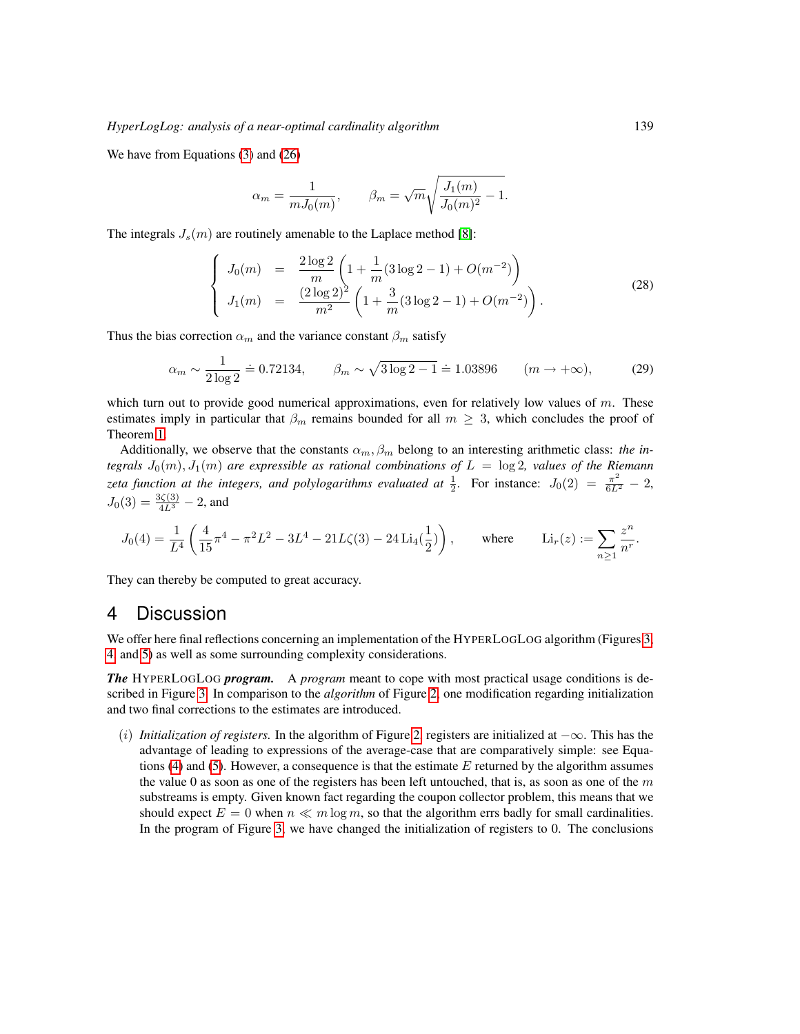We have from Equations [\(3\)](#page-3-1) and [\(26\)](#page-11-1)

$$
\alpha_m = \frac{1}{mJ_0(m)}, \qquad \beta_m = \sqrt{m} \sqrt{\frac{J_1(m)}{J_0(m)^2} - 1}.
$$

The integrals  $J_s(m)$  are routinely amenable to the Laplace method [\[8\]](#page-17-14):

$$
\begin{cases}\nJ_0(m) = \frac{2\log 2}{m} \left( 1 + \frac{1}{m} (3\log 2 - 1) + O(m^{-2}) \right) \\
J_1(m) = \frac{(2\log 2)^2}{m^2} \left( 1 + \frac{3}{m} (3\log 2 - 1) + O(m^{-2}) \right).\n\end{cases} (28)
$$

Thus the bias correction  $\alpha_m$  and the variance constant  $\beta_m$  satisfy

$$
\alpha_m \sim \frac{1}{2\log 2} = 0.72134, \qquad \beta_m \sim \sqrt{3\log 2 - 1} = 1.03896 \qquad (m \to +\infty), \tag{29}
$$

which turn out to provide good numerical approximations, even for relatively low values of  $m$ . These estimates imply in particular that  $\beta_m$  remains bounded for all  $m \geq 3$ , which concludes the proof of Theorem [1.](#page-4-0)

Additionally, we observe that the constants  $\alpha_m, \beta_m$  belong to an interesting arithmetic class: *the integrals*  $J_0(m)$ ,  $J_1(m)$  *are expressible as rational combinations of*  $L = \log 2$ , values of the Riemann *zeta function at the integers, and polylogarithms evaluated at*  $\frac{1}{2}$ . For instance:  $J_0(2) = \frac{\pi^2}{6L^2} - 2$ ,  $J_0(3) = \frac{3\zeta(3)}{4L^3} - 2$ , and

$$
J_0(4) = \frac{1}{L^4} \left( \frac{4}{15} \pi^4 - \pi^2 L^2 - 3L^4 - 21L\zeta(3) - 24 \operatorname{Li}_4(\frac{1}{2}) \right), \qquad \text{where} \qquad \operatorname{Li}_r(z) := \sum_{n \ge 1} \frac{z^n}{n^r}.
$$

They can thereby be computed to great accuracy.

## <span id="page-12-0"></span>4 Discussion

We offer here final reflections concerning an implementation of the HYPERLOGLOG algorithm (Figures [3,](#page-13-0) [4,](#page-15-0) and [5\)](#page-16-3) as well as some surrounding complexity considerations.

*The* HYPERLOGLOG *program.* A *program* meant to cope with most practical usage conditions is described in Figure [3.](#page-13-0) In comparison to the *algorithm* of Figure [2,](#page-3-0) one modification regarding initialization and two final corrections to the estimates are introduced.

(i) *Initialization of registers.* In the algorithm of Figure [2,](#page-3-0) registers are initialized at −∞. This has the advantage of leading to expressions of the average-case that are comparatively simple: see Equa-tions [\(4\)](#page-5-2) and [\(5\)](#page-5-3). However, a consequence is that the estimate  $E$  returned by the algorithm assumes the value 0 as soon as one of the registers has been left untouched, that is, as soon as one of the  $m$ substreams is empty. Given known fact regarding the coupon collector problem, this means that we should expect  $E = 0$  when  $n \ll m \log m$ , so that the algorithm errs badly for small cardinalities. In the program of Figure [3,](#page-13-0) we have changed the initialization of registers to 0. The conclusions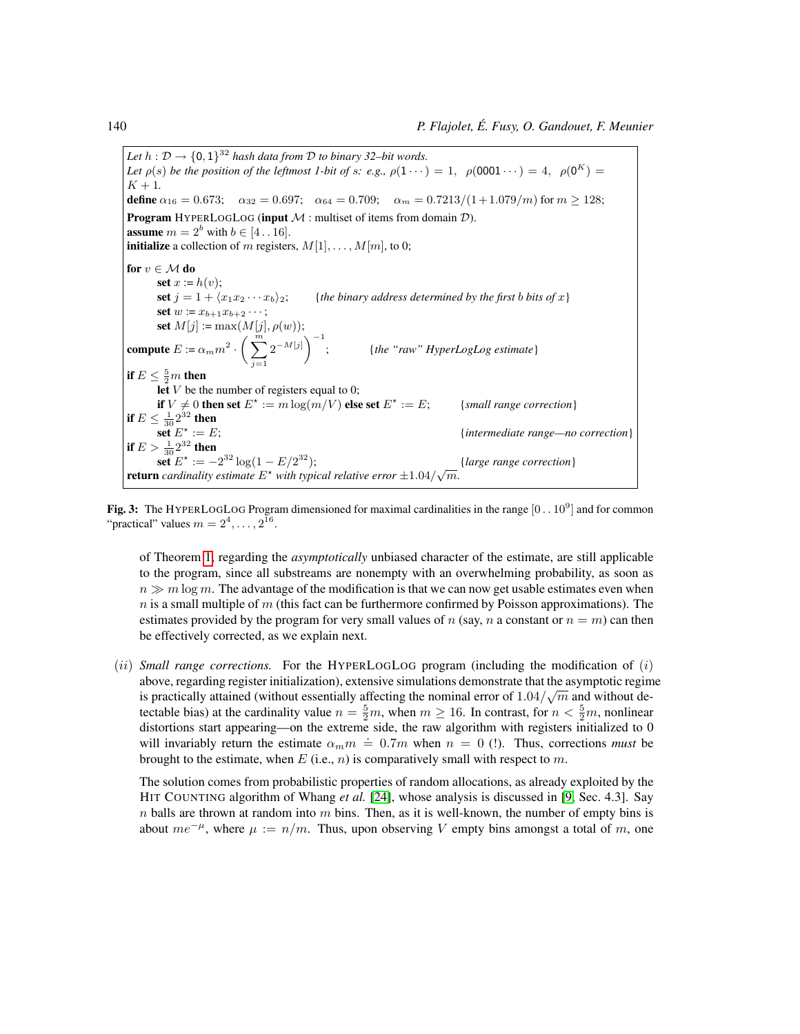Let  $h: \mathcal{D} \to \{0,1\}^{32}$  hash data from  $\mathcal D$  to binary 32–bit words. *Let*  $\rho(s)$  *be the position of the leftmost 1-bit of s: e.g.,*  $\rho(1 \cdots) = 1$ ,  $\rho(0001 \cdots) = 4$ ,  $\rho(0^K) =$  $K + 1$ . define  $\alpha_{16} = 0.673$ ;  $\alpha_{32} = 0.697$ ;  $\alpha_{64} = 0.709$ ;  $\alpha_m = 0.7213/(1+1.079/m)$  for  $m \ge 128$ ; **Program** HYPERLOGLOG (input  $M$  : multiset of items from domain  $D$ ). **assume**  $m = 2^b$  with  $b \in [4 \, . \, 16]$ . **initialize** a collection of m registers,  $M[1], \ldots, M[m]$ , to 0; for  $v \in \mathcal{M}$  do set  $x := h(v)$ ; set  $j = 1 + \langle x_1 x_2 \cdots x_b \rangle_2$ ; {*the binary address determined by the first b bits of* x} set  $w := x_{b+1}x_{b+2} \cdots;$ set  $M[j] := \max(M[j], \rho(w));$ compute  $E := \alpha_m m^2 \cdot \left(\sum^m \right)$  $j=1$  $2^{-M[j]}$ <sup>-1</sup> ; {*the "raw" HyperLogLog estimate*} if  $E\leq \frac{5}{2}m$  then let  $V$  be the number of registers equal to 0; if  $V \neq 0$  then set  $E^{\star} := m \log(m/V)$  else set  $E^{\star}$ {*small range correction*} if  $E\leq \frac{1}{30}2^{32}$  then set  $E^{\star}$ := E; {*intermediate range—no correction*} if  $E > \frac{1}{30} 2^{32}$  then  $\det^{\mathbf{x}} E^* := -2^{32} \log(1 - E/2)$ <sup>32</sup>); {*large range correction*} **return** *cardinality estimate*  $E^*$  *with typical relative error*  $\pm 1.04/\sqrt{m}$ *.* 

<span id="page-13-0"></span>**Fig. 3:** The HYPERLOGLOG Program dimensioned for maximal cardinalities in the range  $[0..10^9]$  and for common "practical" values  $m = 2^4, \ldots, 2^{16}$ .

of Theorem [1,](#page-4-0) regarding the *asymptotically* unbiased character of the estimate, are still applicable to the program, since all substreams are nonempty with an overwhelming probability, as soon as  $n \gg m \log m$ . The advantage of the modification is that we can now get usable estimates even when  $n$  is a small multiple of  $m$  (this fact can be furthermore confirmed by Poisson approximations). The estimates provided by the program for very small values of n (say, n a constant or  $n = m$ ) can then be effectively corrected, as we explain next.

 $(i)$  *Small range corrections.* For the HYPERLOGLOG program (including the modification of  $(i)$ ) above, regarding register initialization), extensive simulations demonstrate that the asymptotic regime √ is practically attained (without essentially affecting the nominal error of  $1.04/\sqrt{m}$  and without detectable bias) at the cardinality value  $n = \frac{5}{2}m$ , when  $m \ge 16$ . In contrast, for  $n < \frac{5}{2}m$ , nonlinear distortions start appearing—on the extreme side, the raw algorithm with registers initialized to 0 will invariably return the estimate  $\alpha_m m = 0.7m$  when  $n = 0$  (!). Thus, corrections *must* be brought to the estimate, when  $E$  (i.e., n) is comparatively small with respect to m.

The solution comes from probabilistic properties of random allocations, as already exploited by the HIT COUNTING algorithm of Whang *et al.* [\[24\]](#page-18-1), whose analysis is discussed in [\[9,](#page-17-15) Sec. 4.3]. Say  $n$  balls are thrown at random into  $m$  bins. Then, as it is well-known, the number of empty bins is about  $me^{-\mu}$ , where  $\mu := n/m$ . Thus, upon observing V empty bins amongst a total of m, one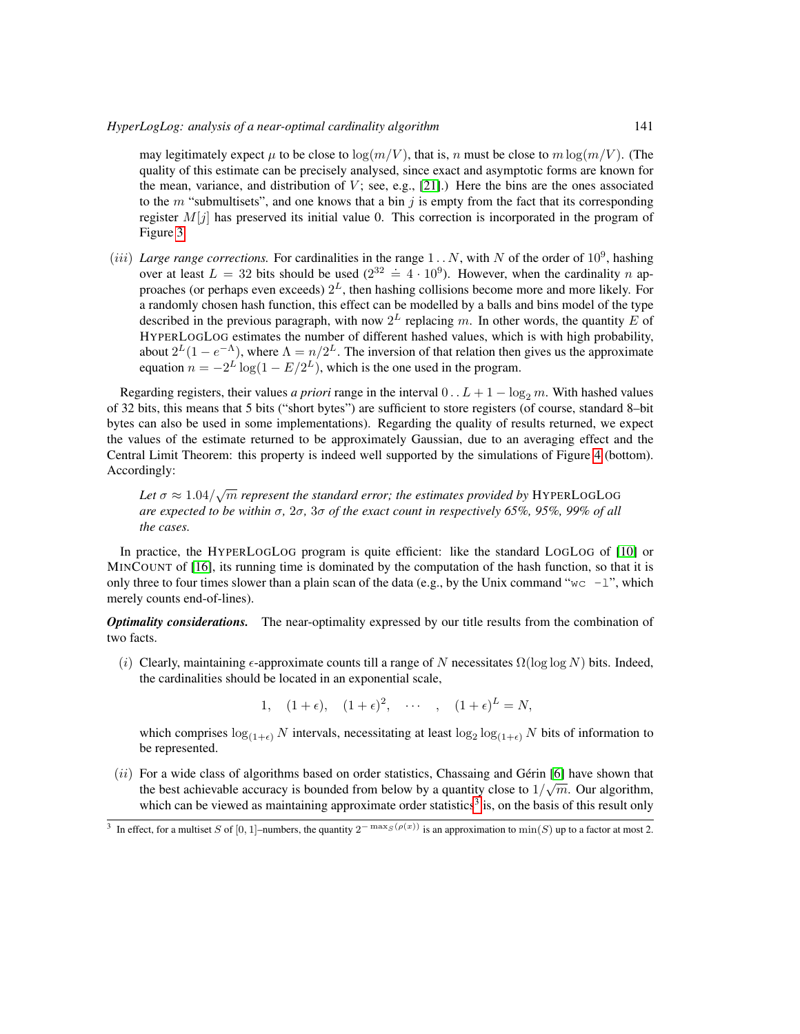#### *HyperLogLog: analysis of a near-optimal cardinality algorithm* 141

may legitimately expect  $\mu$  to be close to  $\log(m/V)$ , that is, n must be close to  $m \log(m/V)$ . (The quality of this estimate can be precisely analysed, since exact and asymptotic forms are known for the mean, variance, and distribution of  $V$ ; see, e.g., [\[21\]](#page-17-16).) Here the bins are the ones associated to the  $m$  "submultisets", and one knows that a bin  $j$  is empty from the fact that its corresponding register  $M[i]$  has preserved its initial value 0. This correction is incorporated in the program of Figure [3.](#page-13-0)

(*iii*) *Large range corrections*. For cardinalities in the range  $1..N$ , with N of the order of  $10^9$ , hashing between the state in the contentions. The contentions in the range 1:11, while it of the order of To 3, mashing over at least  $L = 32$  bits should be used  $(2^{32} \doteq 4 \cdot 10^9)$ . However, when the cardinality *n* approaches (or perhaps even exceeds)  $2^L$ , then hashing collisions become more and more likely. For a randomly chosen hash function, this effect can be modelled by a balls and bins model of the type described in the previous paragraph, with now  $2^L$  replacing m. In other words, the quantity E of HYPERLOGLOG estimates the number of different hashed values, which is with high probability, about  $2^{L}(1-e^{-\Lambda})$ , where  $\Lambda = n/2^{L}$ . The inversion of that relation then gives us the approximate equation  $n = -2^L \log(1 - E/2^L)$ , which is the one used in the program.

Regarding registers, their values *a priori* range in the interval  $0 \ldots L + 1 - \log_2 m$ . With hashed values of 32 bits, this means that 5 bits ("short bytes") are sufficient to store registers (of course, standard 8–bit bytes can also be used in some implementations). Regarding the quality of results returned, we expect the values of the estimate returned to be approximately Gaussian, due to an averaging effect and the Central Limit Theorem: this property is indeed well supported by the simulations of Figure [4](#page-15-0) (bottom). Accordingly:

Let  $\sigma \approx 1.04/\sqrt{m}$  represent the standard error; the estimates provided by HYPERLOGLOG *are expected to be within* σ*,* 2σ*,* 3σ *of the exact count in respectively 65%, 95%, 99% of all the cases.*

In practice, the HYPERLOGLOG program is quite efficient: like the standard LOGLOG of [\[10\]](#page-17-6) or MINCOUNT of [\[16\]](#page-17-8), its running time is dominated by the computation of the hash function, so that it is only three to four times slower than a plain scan of the data (e.g., by the Unix command "wc  $-1$ ", which merely counts end-of-lines).

*Optimality considerations.* The near-optimality expressed by our title results from the combination of two facts.

(i) Clearly, maintaining  $\epsilon$ -approximate counts till a range of N necessitates  $\Omega(\log \log N)$  bits. Indeed, the cardinalities should be located in an exponential scale,

1,  $(1+\epsilon)$ ,  $(1+\epsilon)^2$ ,  $\cdots$  ,  $(1+\epsilon)^L = N$ ,

which comprises  $\log_{(1+\epsilon)} N$  intervals, necessitating at least  $\log_2 \log_{(1+\epsilon)} N$  bits of information to be represented.

(ii) For a wide class of algorithms based on order statistics, Chassaing and Gérin [\[6\]](#page-17-5) have shown that the best achievable accuracy is bounded from below by a quantity close to  $1/\sqrt{m}$ . Our algorithm, which can be viewed as maintaining approximate order statistics<sup>[3](#page-14-0)</sup> is, on the basis of this result only

<span id="page-14-0"></span><sup>&</sup>lt;sup>3</sup> In effect, for a multiset S of [0, 1]–numbers, the quantity  $2^{-\max_S(\rho(x))}$  is an approximation to min(S) up to a factor at most 2.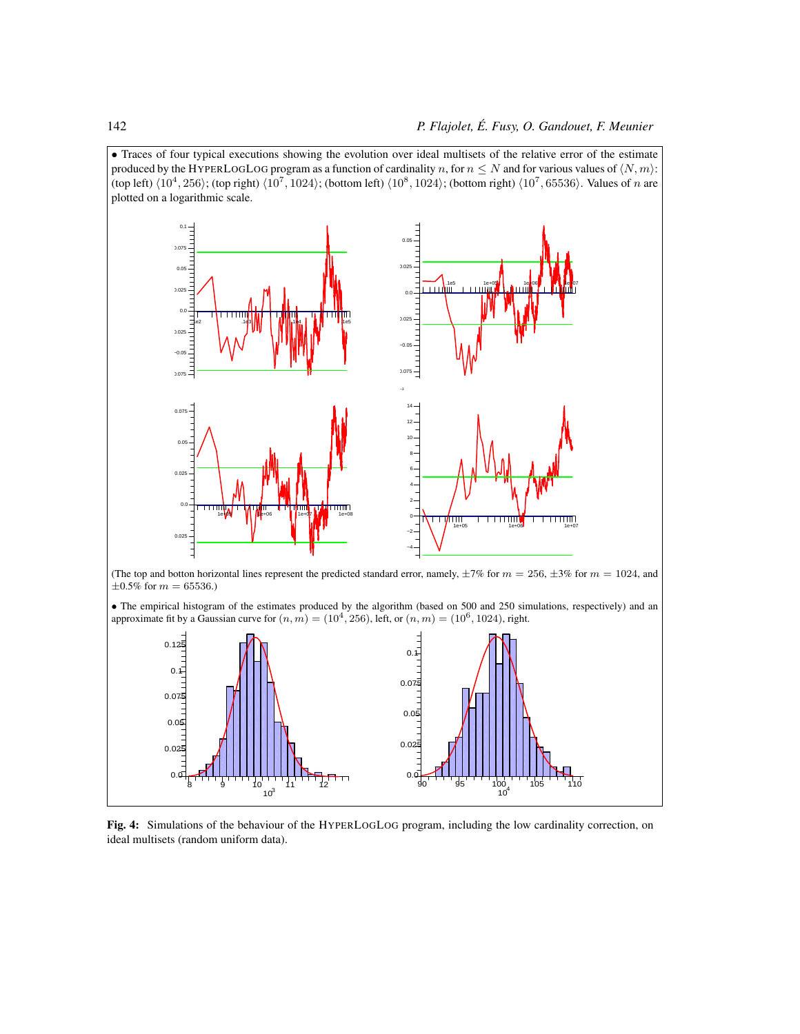

<span id="page-15-0"></span>Fig. 4: Simulations of the behaviour of the HYPERLOGLOG program, including the low cardinality correction, on ideal multisets (random uniform data).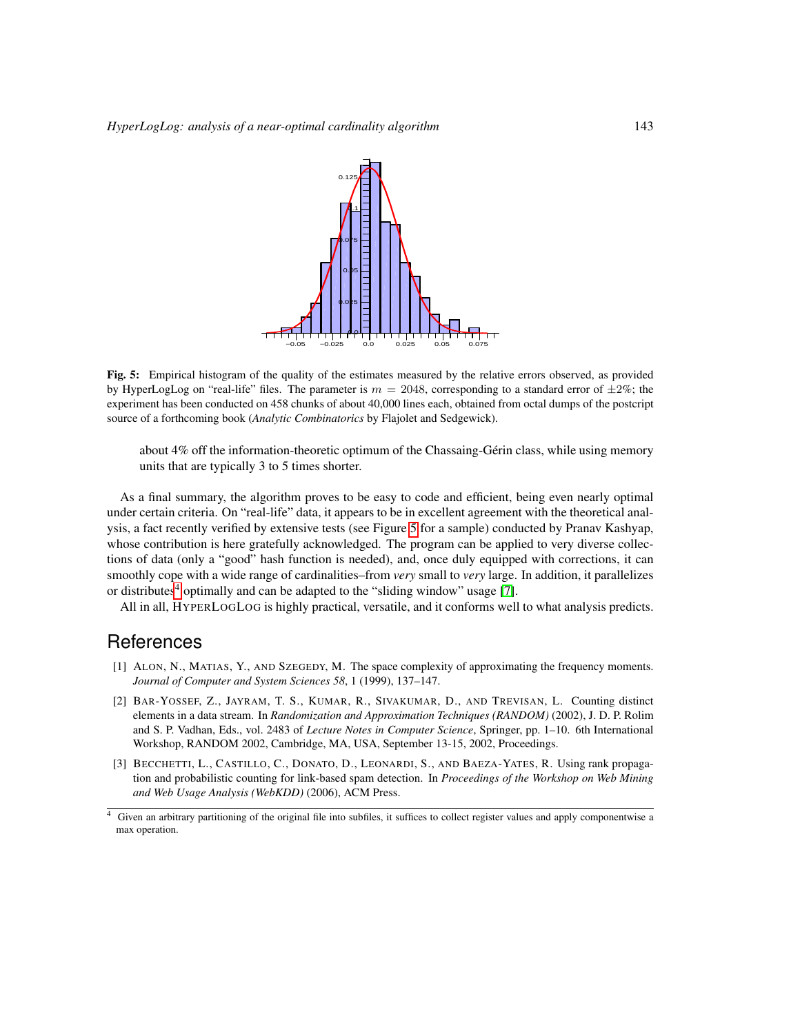

<span id="page-16-3"></span>Fig. 5: Empirical histogram of the quality of the estimates measured by the relative errors observed, as provided by HyperLogLog on "real-life" files. The parameter is  $m = 2048$ , corresponding to a standard error of  $\pm 2\%$ ; the experiment has been conducted on 458 chunks of about 40,000 lines each, obtained from octal dumps of the postcript source of a forthcoming book (*Analytic Combinatorics* by Flajolet and Sedgewick).

about 4% off the information-theoretic optimum of the Chassaing-Gérin class, while using memory units that are typically 3 to 5 times shorter.

As a final summary, the algorithm proves to be easy to code and efficient, being even nearly optimal under certain criteria. On "real-life" data, it appears to be in excellent agreement with the theoretical analysis, a fact recently verified by extensive tests (see Figure [5](#page-16-3) for a sample) conducted by Pranav Kashyap, whose contribution is here gratefully acknowledged. The program can be applied to very diverse collections of data (only a "good" hash function is needed), and, once duly equipped with corrections, it can smoothly cope with a wide range of cardinalities–from *very* small to *very* large. In addition, it parallelizes or distributes<sup>[4](#page-16-4)</sup> optimally and can be adapted to the "sliding window" usage [\[7\]](#page-17-17).

All in all, HYPERLOGLOG is highly practical, versatile, and it conforms well to what analysis predicts.

# **References**

- <span id="page-16-2"></span>[1] ALON, N., MATIAS, Y., AND SZEGEDY, M. The space complexity of approximating the frequency moments. *Journal of Computer and System Sciences 58*, 1 (1999), 137–147.
- <span id="page-16-1"></span>[2] BAR-YOSSEF, Z., JAYRAM, T. S., KUMAR, R., SIVAKUMAR, D., AND TREVISAN, L. Counting distinct elements in a data stream. In *Randomization and Approximation Techniques (RANDOM)* (2002), J. D. P. Rolim and S. P. Vadhan, Eds., vol. 2483 of *Lecture Notes in Computer Science*, Springer, pp. 1–10. 6th International Workshop, RANDOM 2002, Cambridge, MA, USA, September 13-15, 2002, Proceedings.
- <span id="page-16-0"></span>[3] BECCHETTI, L., CASTILLO, C., DONATO, D., LEONARDI, S., AND BAEZA-YATES, R. Using rank propagation and probabilistic counting for link-based spam detection. In *Proceedings of the Workshop on Web Mining and Web Usage Analysis (WebKDD)* (2006), ACM Press.

<span id="page-16-4"></span><sup>4</sup> Given an arbitrary partitioning of the original file into subfiles, it suffices to collect register values and apply componentwise a max operation.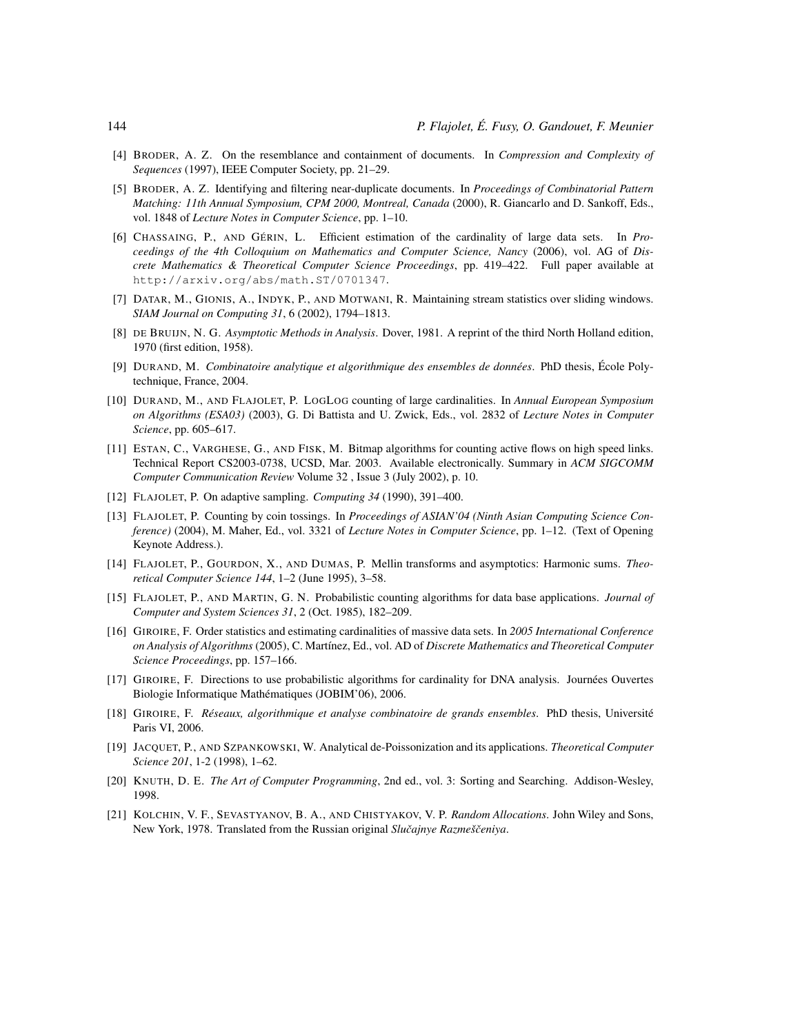- <span id="page-17-1"></span>[4] BRODER, A. Z. On the resemblance and containment of documents. In *Compression and Complexity of Sequences* (1997), IEEE Computer Society, pp. 21–29.
- <span id="page-17-2"></span>[5] BRODER, A. Z. Identifying and filtering near-duplicate documents. In *Proceedings of Combinatorial Pattern Matching: 11th Annual Symposium, CPM 2000, Montreal, Canada* (2000), R. Giancarlo and D. Sankoff, Eds., vol. 1848 of *Lecture Notes in Computer Science*, pp. 1–10.
- <span id="page-17-5"></span>[6] CHASSAING, P., AND GÉRIN, L. Efficient estimation of the cardinality of large data sets. In *Proceedings of the 4th Colloquium on Mathematics and Computer Science, Nancy* (2006), vol. AG of *Discrete Mathematics & Theoretical Computer Science Proceedings*, pp. 419–422. Full paper available at http://arxiv.org/abs/math.ST/0701347.
- <span id="page-17-17"></span>[7] DATAR, M., GIONIS, A., INDYK, P., AND MOTWANI, R. Maintaining stream statistics over sliding windows. *SIAM Journal on Computing 31*, 6 (2002), 1794–1813.
- <span id="page-17-14"></span>[8] DE BRUIJN, N. G. *Asymptotic Methods in Analysis*. Dover, 1981. A reprint of the third North Holland edition, 1970 (first edition, 1958).
- <span id="page-17-15"></span>[9] DURAND, M. *Combinatoire analytique et algorithmique des ensembles de données*. PhD thesis, École Polytechnique, France, 2004.
- <span id="page-17-6"></span>[10] DURAND, M., AND FLAJOLET, P. LOGLOG counting of large cardinalities. In *Annual European Symposium on Algorithms (ESA03)* (2003), G. Di Battista and U. Zwick, Eds., vol. 2832 of *Lecture Notes in Computer Science*, pp. 605–617.
- <span id="page-17-0"></span>[11] ESTAN, C., VARGHESE, G., AND FISK, M. Bitmap algorithms for counting active flows on high speed links. Technical Report CS2003-0738, UCSD, Mar. 2003. Available electronically. Summary in *ACM SIGCOMM Computer Communication Review* Volume 32 , Issue 3 (July 2002), p. 10.
- <span id="page-17-10"></span>[12] FLAJOLET, P. On adaptive sampling. *Computing 34* (1990), 391–400.
- <span id="page-17-11"></span>[13] FLAJOLET, P. Counting by coin tossings. In *Proceedings of ASIAN'04 (Ninth Asian Computing Science Conference)* (2004), M. Maher, Ed., vol. 3321 of *Lecture Notes in Computer Science*, pp. 1–12. (Text of Opening Keynote Address.).
- <span id="page-17-12"></span>[14] FLAJOLET, P., GOURDON, X., AND DUMAS, P. Mellin transforms and asymptotics: Harmonic sums. *Theoretical Computer Science 144*, 1–2 (June 1995), 3–58.
- <span id="page-17-7"></span>[15] FLAJOLET, P., AND MARTIN, G. N. Probabilistic counting algorithms for data base applications. *Journal of Computer and System Sciences 31*, 2 (Oct. 1985), 182–209.
- <span id="page-17-8"></span>[16] GIROIRE, F. Order statistics and estimating cardinalities of massive data sets. In *2005 International Conference on Analysis of Algorithms* (2005), C. Martínez, Ed., vol. AD of *Discrete Mathematics and Theoretical Computer Science Proceedings*, pp. 157–166.
- <span id="page-17-3"></span>[17] GIROIRE, F. Directions to use probabilistic algorithms for cardinality for DNA analysis. Journées Ouvertes Biologie Informatique Mathématiques (JOBIM'06), 2006.
- <span id="page-17-4"></span>[18] GIROIRE, F. *Réseaux, algorithmique et analyse combinatoire de grands ensembles*. PhD thesis, Université Paris VI, 2006.
- <span id="page-17-13"></span>[19] JACQUET, P., AND SZPANKOWSKI, W. Analytical de-Poissonization and its applications. *Theoretical Computer Science 201*, 1-2 (1998), 1–62.
- <span id="page-17-9"></span>[20] KNUTH, D. E. *The Art of Computer Programming*, 2nd ed., vol. 3: Sorting and Searching. Addison-Wesley, 1998.
- <span id="page-17-16"></span>[21] KOLCHIN, V. F., SEVASTYANOV, B. A., AND CHISTYAKOV, V. P. *Random Allocations*. John Wiley and Sons, New York, 1978. Translated from the Russian original *Sluˇcajnye Razmešˇceniya*.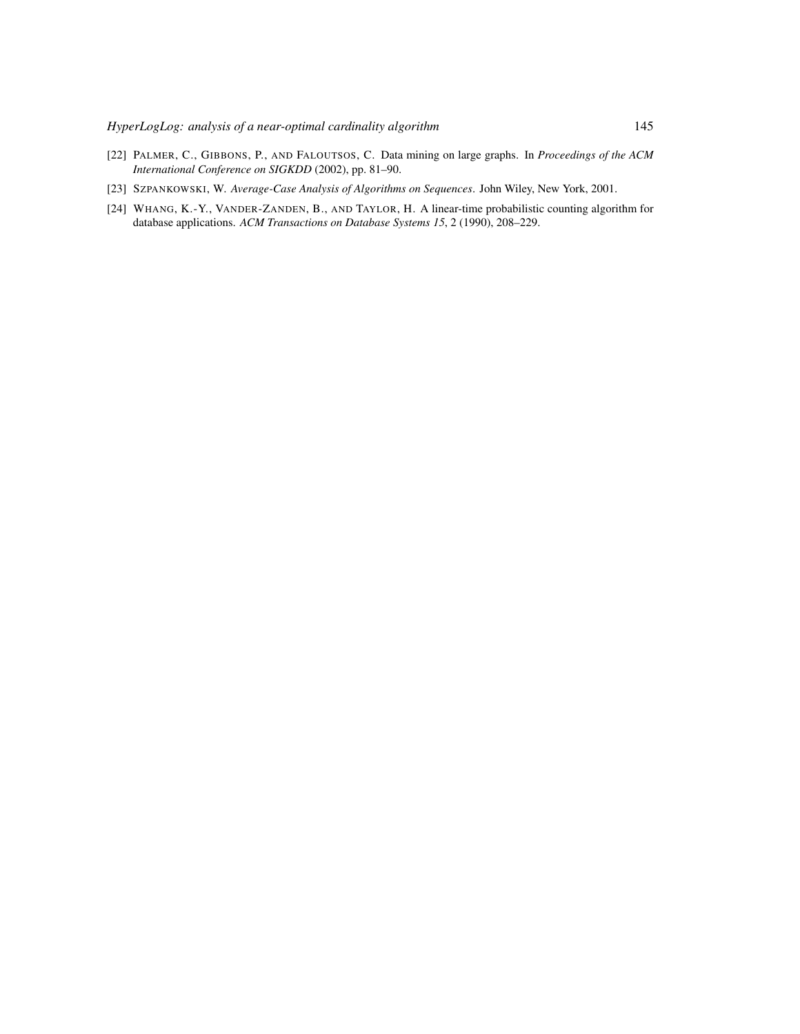- <span id="page-18-0"></span>[22] PALMER, C., GIBBONS, P., AND FALOUTSOS, C. Data mining on large graphs. In *Proceedings of the ACM International Conference on SIGKDD* (2002), pp. 81–90.
- <span id="page-18-2"></span>[23] SZPANKOWSKI, W. *Average-Case Analysis of Algorithms on Sequences*. John Wiley, New York, 2001.
- <span id="page-18-1"></span>[24] WHANG, K.-Y., VANDER-ZANDEN, B., AND TAYLOR, H. A linear-time probabilistic counting algorithm for database applications. *ACM Transactions on Database Systems 15*, 2 (1990), 208–229.